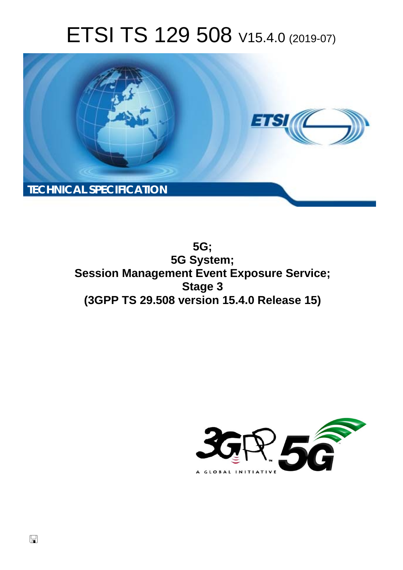# ETSI TS 129 508 V15.4.0 (2019-07)



**5G; 5G System; Session Management Event Exposure Service; Stage 3 (3GPP TS 29.508 version 15.4.0 Release 15)** 

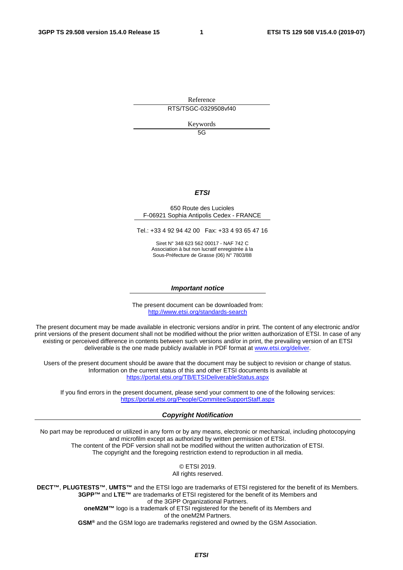Reference RTS/TSGC-0329508vf40

Keywords

5G

#### *ETSI*

#### 650 Route des Lucioles F-06921 Sophia Antipolis Cedex - FRANCE

Tel.: +33 4 92 94 42 00 Fax: +33 4 93 65 47 16

Siret N° 348 623 562 00017 - NAF 742 C Association à but non lucratif enregistrée à la Sous-Préfecture de Grasse (06) N° 7803/88

#### *Important notice*

The present document can be downloaded from: <http://www.etsi.org/standards-search>

The present document may be made available in electronic versions and/or in print. The content of any electronic and/or print versions of the present document shall not be modified without the prior written authorization of ETSI. In case of any existing or perceived difference in contents between such versions and/or in print, the prevailing version of an ETSI deliverable is the one made publicly available in PDF format at [www.etsi.org/deliver](http://www.etsi.org/deliver).

Users of the present document should be aware that the document may be subject to revision or change of status. Information on the current status of this and other ETSI documents is available at <https://portal.etsi.org/TB/ETSIDeliverableStatus.aspx>

If you find errors in the present document, please send your comment to one of the following services: <https://portal.etsi.org/People/CommiteeSupportStaff.aspx>

#### *Copyright Notification*

No part may be reproduced or utilized in any form or by any means, electronic or mechanical, including photocopying and microfilm except as authorized by written permission of ETSI. The content of the PDF version shall not be modified without the written authorization of ETSI. The copyright and the foregoing restriction extend to reproduction in all media.

> © ETSI 2019. All rights reserved.

**DECT™**, **PLUGTESTS™**, **UMTS™** and the ETSI logo are trademarks of ETSI registered for the benefit of its Members. **3GPP™** and **LTE™** are trademarks of ETSI registered for the benefit of its Members and of the 3GPP Organizational Partners. **oneM2M™** logo is a trademark of ETSI registered for the benefit of its Members and of the oneM2M Partners. **GSM®** and the GSM logo are trademarks registered and owned by the GSM Association.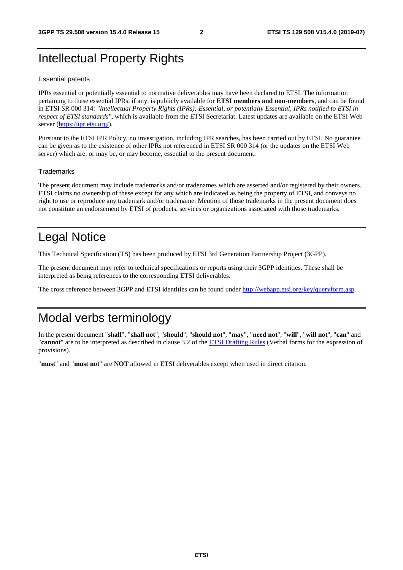# Intellectual Property Rights

#### Essential patents

IPRs essential or potentially essential to normative deliverables may have been declared to ETSI. The information pertaining to these essential IPRs, if any, is publicly available for **ETSI members and non-members**, and can be found in ETSI SR 000 314: *"Intellectual Property Rights (IPRs); Essential, or potentially Essential, IPRs notified to ETSI in respect of ETSI standards"*, which is available from the ETSI Secretariat. Latest updates are available on the ETSI Web server ([https://ipr.etsi.org/\)](https://ipr.etsi.org/).

Pursuant to the ETSI IPR Policy, no investigation, including IPR searches, has been carried out by ETSI. No guarantee can be given as to the existence of other IPRs not referenced in ETSI SR 000 314 (or the updates on the ETSI Web server) which are, or may be, or may become, essential to the present document.

#### **Trademarks**

The present document may include trademarks and/or tradenames which are asserted and/or registered by their owners. ETSI claims no ownership of these except for any which are indicated as being the property of ETSI, and conveys no right to use or reproduce any trademark and/or tradename. Mention of those trademarks in the present document does not constitute an endorsement by ETSI of products, services or organizations associated with those trademarks.

# Legal Notice

This Technical Specification (TS) has been produced by ETSI 3rd Generation Partnership Project (3GPP).

The present document may refer to technical specifications or reports using their 3GPP identities. These shall be interpreted as being references to the corresponding ETSI deliverables.

The cross reference between 3GPP and ETSI identities can be found under<http://webapp.etsi.org/key/queryform.asp>.

# Modal verbs terminology

In the present document "**shall**", "**shall not**", "**should**", "**should not**", "**may**", "**need not**", "**will**", "**will not**", "**can**" and "**cannot**" are to be interpreted as described in clause 3.2 of the [ETSI Drafting Rules](https://portal.etsi.org/Services/editHelp!/Howtostart/ETSIDraftingRules.aspx) (Verbal forms for the expression of provisions).

"**must**" and "**must not**" are **NOT** allowed in ETSI deliverables except when used in direct citation.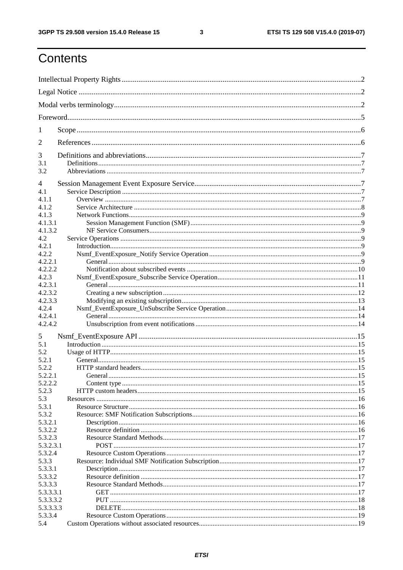$\mathbf{3}$ 

# Contents

| 1          |         |  |
|------------|---------|--|
| 2          |         |  |
| 3          |         |  |
| 3.1<br>3.2 |         |  |
| 4          |         |  |
| 4.1        |         |  |
| 4.1.1      |         |  |
| 4.1.2      |         |  |
| 4.1.3      |         |  |
| 4.1.3.1    |         |  |
| 4.1.3.2    |         |  |
| 4.2        |         |  |
| 4.2.1      |         |  |
| 4.2.2      |         |  |
| 4.2.2.1    |         |  |
| 4.2.2.2    |         |  |
| 4.2.3      |         |  |
| 4.2.3.1    |         |  |
| 4.2.3.2    |         |  |
| 4.2.3.3    |         |  |
|            |         |  |
| 4.2.4      |         |  |
| 4.2.4.1    |         |  |
| 4.2.4.2    |         |  |
| 5          |         |  |
| 5.1        |         |  |
| 5.2        |         |  |
| 5.2.1      |         |  |
| 5.2.2      |         |  |
| 5.2.2.1    | General |  |
| 5.2.2.2    |         |  |
| 5.2.3      |         |  |
| 5.3        |         |  |
| 5.3.1      |         |  |
| 5.3.2      |         |  |
| 5.3.2.1    |         |  |
| 5.3.2.2    |         |  |
| 5.3.2.3    |         |  |
| 5.3.2.3.1  |         |  |
| 5.3.2.4    |         |  |
| 5.3.3      |         |  |
| 5.3.3.1    |         |  |
| 5.3.3.2    |         |  |
| 5.3.3.3    |         |  |
| 5.3.3.3.1  |         |  |
| 5.3.3.3.2  |         |  |
| 5.3.3.3.3  |         |  |
| 5.3.3.4    |         |  |
| 5.4        |         |  |
|            |         |  |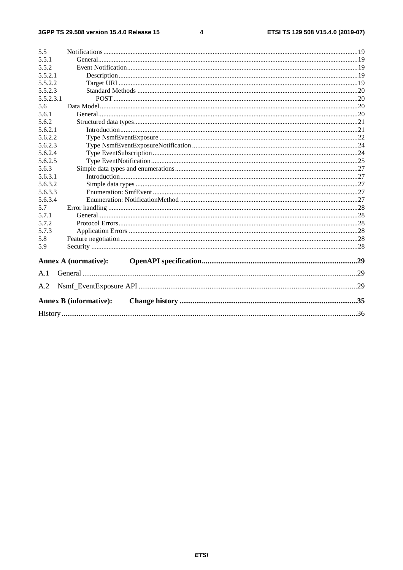$\overline{\mathbf{4}}$ 

| 5.5       |                               |  |
|-----------|-------------------------------|--|
| 5.5.1     |                               |  |
| 5.5.2     |                               |  |
| 5.5.2.1   |                               |  |
| 5.5.2.2   |                               |  |
| 5.5.2.3   |                               |  |
| 5.5.2.3.1 |                               |  |
| 5.6       |                               |  |
| 5.6.1     |                               |  |
| 5.6.2     |                               |  |
| 5.6.2.1   |                               |  |
| 5.6.2.2   |                               |  |
| 5.6.2.3   |                               |  |
| 5.6.2.4   |                               |  |
| 5.6.2.5   |                               |  |
| 5.6.3     |                               |  |
| 5.6.3.1   |                               |  |
| 5.6.3.2   |                               |  |
| 5.6.3.3   |                               |  |
| 5.6.3.4   |                               |  |
| 5.7       |                               |  |
| 5.7.1     |                               |  |
| 5.7.2     |                               |  |
| 5.7.3     |                               |  |
| 5.8       |                               |  |
| 5.9       |                               |  |
|           | <b>Annex A (normative):</b>   |  |
| A.1       |                               |  |
| A.2       |                               |  |
|           | <b>Annex B (informative):</b> |  |
|           |                               |  |
|           |                               |  |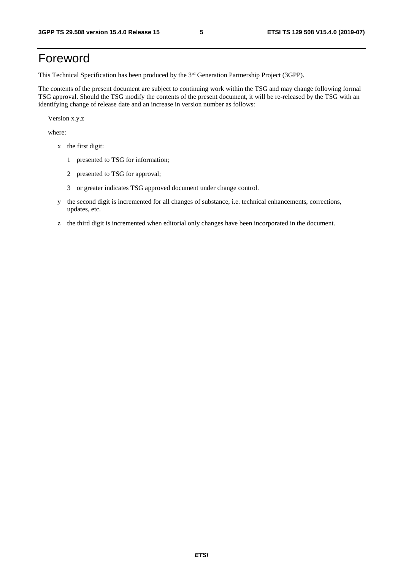# Foreword

This Technical Specification has been produced by the 3<sup>rd</sup> Generation Partnership Project (3GPP).

The contents of the present document are subject to continuing work within the TSG and may change following formal TSG approval. Should the TSG modify the contents of the present document, it will be re-released by the TSG with an identifying change of release date and an increase in version number as follows:

Version x.y.z

where:

- x the first digit:
	- 1 presented to TSG for information;
	- 2 presented to TSG for approval;
	- 3 or greater indicates TSG approved document under change control.
- y the second digit is incremented for all changes of substance, i.e. technical enhancements, corrections, updates, etc.
- z the third digit is incremented when editorial only changes have been incorporated in the document.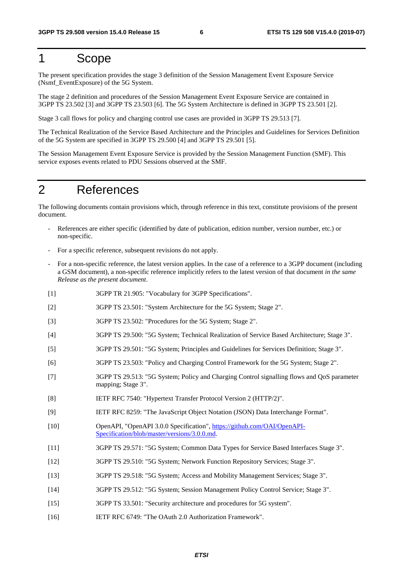# 1 Scope

The present specification provides the stage 3 definition of the Session Management Event Exposure Service (Nsmf\_EventExposure) of the 5G System.

The stage 2 definition and procedures of the Session Management Event Exposure Service are contained in 3GPP TS 23.502 [3] and 3GPP TS 23.503 [6]. The 5G System Architecture is defined in 3GPP TS 23.501 [2].

Stage 3 call flows for policy and charging control use cases are provided in 3GPP TS 29.513 [7].

The Technical Realization of the Service Based Architecture and the Principles and Guidelines for Services Definition of the 5G System are specified in 3GPP TS 29.500 [4] and 3GPP TS 29.501 [5].

The Session Management Event Exposure Service is provided by the Session Management Function (SMF). This service exposes events related to PDU Sessions observed at the SMF.

# 2 References

The following documents contain provisions which, through reference in this text, constitute provisions of the present document.

- References are either specific (identified by date of publication, edition number, version number, etc.) or non-specific.
- For a specific reference, subsequent revisions do not apply.
- For a non-specific reference, the latest version applies. In the case of a reference to a 3GPP document (including a GSM document), a non-specific reference implicitly refers to the latest version of that document *in the same Release as the present document*.
- [1] 3GPP TR 21.905: "Vocabulary for 3GPP Specifications".
- [2] 3GPP TS 23.501: "System Architecture for the 5G System; Stage 2".
- [3] 3GPP TS 23.502: "Procedures for the 5G System; Stage 2".
- [4] 3GPP TS 29.500: "5G System; Technical Realization of Service Based Architecture; Stage 3".
- [5] 3GPP TS 29.501: "5G System; Principles and Guidelines for Services Definition; Stage 3".
- [6] 3GPP TS 23.503: "Policy and Charging Control Framework for the 5G System; Stage 2".
- [7] 3GPP TS 29.513: "5G System; Policy and Charging Control signalling flows and QoS parameter mapping; Stage 3".
- [8] IETF RFC 7540: "Hypertext Transfer Protocol Version 2 (HTTP/2)".
- [9] IETF RFC 8259: "The JavaScript Object Notation (JSON) Data Interchange Format".
- [10] OpenAPI, "OpenAPI 3.0.0 Specification", [https://github.com/OAI/OpenAPI](https://github.com/OAI/OpenAPI-Specification/blob/master/versions/3.0.0.md)-[Specification/blob/master/versions/3.0.0.md](https://github.com/OAI/OpenAPI-Specification/blob/master/versions/3.0.0.md).
- [11] 3GPP TS 29.571: "5G System; Common Data Types for Service Based Interfaces Stage 3".
- [12] 3GPP TS 29.510: "5G System; Network Function Repository Services; Stage 3".
- [13] 3GPP TS 29.518: "5G System; Access and Mobility Management Services; Stage 3".
- [14] 3GPP TS 29.512: "5G System; Session Management Policy Control Service; Stage 3".
- [15] 3GPP TS 33.501: "Security architecture and procedures for 5G system".
- [16] IETF RFC 6749: "The OAuth 2.0 Authorization Framework".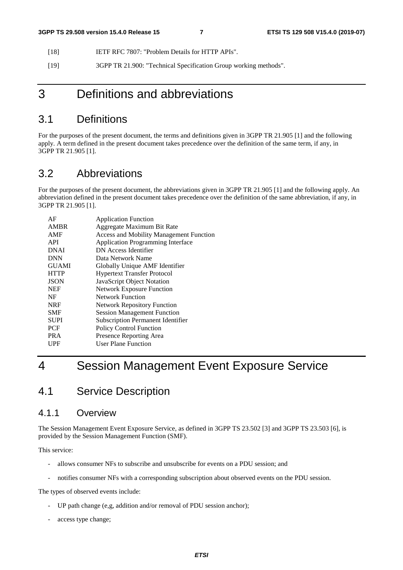- [18] IETF RFC 7807: "Problem Details for HTTP APIs".
- [19] 3GPP TR 21.900: "Technical Specification Group working methods".

# 3 Definitions and abbreviations

# 3.1 Definitions

For the purposes of the present document, the terms and definitions given in 3GPP TR 21.905 [1] and the following apply. A term defined in the present document takes precedence over the definition of the same term, if any, in 3GPP TR 21.905 [1].

# 3.2 Abbreviations

For the purposes of the present document, the abbreviations given in 3GPP TR 21.905 [1] and the following apply. An abbreviation defined in the present document takes precedence over the definition of the same abbreviation, if any, in 3GPP TR 21.905 [1].

| <b>Application Function</b>                    |
|------------------------------------------------|
| Aggregate Maximum Bit Rate                     |
| <b>Access and Mobility Management Function</b> |
| <b>Application Programming Interface</b>       |
| DN Access Identifier                           |
| Data Network Name                              |
| Globally Unique AMF Identifier                 |
| <b>Hypertext Transfer Protocol</b>             |
| JavaScript Object Notation                     |
| <b>Network Exposure Function</b>               |
| Network Function                               |
| <b>Network Repository Function</b>             |
| <b>Session Management Function</b>             |
| <b>Subscription Permanent Identifier</b>       |
| Policy Control Function                        |
| Presence Reporting Area                        |
| <b>User Plane Function</b>                     |
|                                                |

# 4 Session Management Event Exposure Service

# 4.1 Service Description

#### 4.1.1 Overview

The Session Management Event Exposure Service, as defined in 3GPP TS 23.502 [3] and 3GPP TS 23.503 [6], is provided by the Session Management Function (SMF).

This service:

- allows consumer NFs to subscribe and unsubscribe for events on a PDU session; and
- notifies consumer NFs with a corresponding subscription about observed events on the PDU session.

The types of observed events include:

- UP path change (e,g, addition and/or removal of PDU session anchor);
- access type change;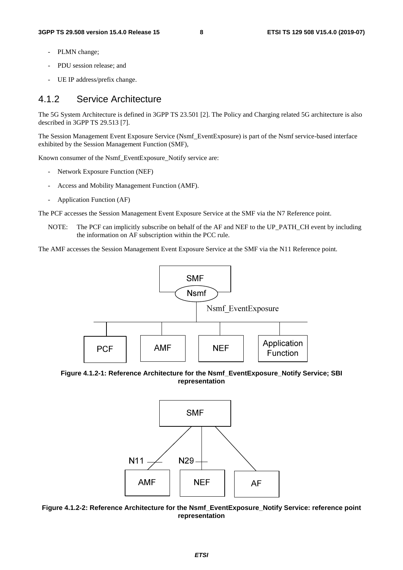- PLMN change;
- PDU session release; and
- UE IP address/prefix change.

### 4.1.2 Service Architecture

The 5G System Architecture is defined in 3GPP TS 23.501 [2]. The Policy and Charging related 5G architecture is also described in 3GPP TS 29.513 [7].

The Session Management Event Exposure Service (Nsmf\_EventExposure) is part of the Nsmf service-based interface exhibited by the Session Management Function (SMF),

Known consumer of the Nsmf\_EventExposure\_Notify service are:

- Network Exposure Function (NEF)
- Access and Mobility Management Function (AMF).
- Application Function (AF)

The PCF accesses the Session Management Event Exposure Service at the SMF via the N7 Reference point.

NOTE: The PCF can implicitly subscribe on behalf of the AF and NEF to the UP\_PATH\_CH event by including the information on AF subscription within the PCC rule.

The AMF accesses the Session Management Event Exposure Service at the SMF via the N11 Reference point.



**Figure 4.1.2-1: Reference Architecture for the Nsmf\_EventExposure\_Notify Service; SBI representation** 



**Figure 4.1.2-2: Reference Architecture for the Nsmf\_EventExposure\_Notify Service: reference point representation**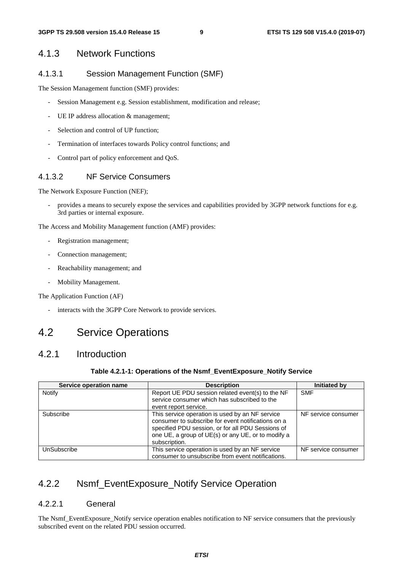### 4.1.3 Network Functions

#### 4.1.3.1 Session Management Function (SMF)

The Session Management function (SMF) provides:

- Session Management e.g. Session establishment, modification and release;
- UE IP address allocation & management;
- Selection and control of UP function;
- Termination of interfaces towards Policy control functions; and
- Control part of policy enforcement and QoS.

#### 4.1.3.2 NF Service Consumers

The Network Exposure Function (NEF);

- provides a means to securely expose the services and capabilities provided by 3GPP network functions for e.g. 3rd parties or internal exposure.

The Access and Mobility Management function (AMF) provides:

- Registration management;
- Connection management;
- Reachability management; and
- Mobility Management.

The Application Function (AF)

- interacts with the 3GPP Core Network to provide services.

# 4.2 Service Operations

### 4.2.1 Introduction

#### **Table 4.2.1-1: Operations of the Nsmf\_EventExposure\_Notify Service**

| Service operation name | <b>Description</b>                                                                                                                                                                                                                | Initiated by        |
|------------------------|-----------------------------------------------------------------------------------------------------------------------------------------------------------------------------------------------------------------------------------|---------------------|
| Notify                 | Report UE PDU session related event(s) to the NF<br>service consumer which has subscribed to the                                                                                                                                  | <b>SMF</b>          |
|                        | event report service.                                                                                                                                                                                                             |                     |
| Subscribe              | This service operation is used by an NF service<br>consumer to subscribe for event notifications on a<br>specified PDU session, or for all PDU Sessions of<br>one UE, a group of UE(s) or any UE, or to modify a<br>subscription. | NF service consumer |
| UnSubscribe            | This service operation is used by an NF service<br>consumer to unsubscribe from event notifications.                                                                                                                              | NF service consumer |

### 4.2.2 Nsmf\_EventExposure\_Notify Service Operation

#### 4.2.2.1 General

The Nsmf\_EventExposure\_Notify service operation enables notification to NF service consumers that the previously subscribed event on the related PDU session occurred.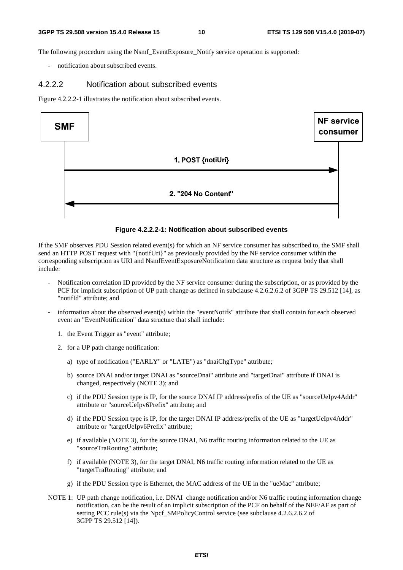The following procedure using the Nsmf\_EventExposure\_Notify service operation is supported:

notification about subscribed events.

#### 4.2.2.2 Notification about subscribed events

Figure 4.2.2.2-1 illustrates the notification about subscribed events.



#### **Figure 4.2.2.2-1: Notification about subscribed events**

If the SMF observes PDU Session related event(s) for which an NF service consumer has subscribed to, the SMF shall send an HTTP POST request with "{notifUri}" as previously provided by the NF service consumer within the corresponding subscription as URI and NsmfEventExposureNotification data structure as request body that shall include:

- Notification correlation ID provided by the NF service consumer during the subscription, or as provided by the PCF for implicit subscription of UP path change as defined in subclause 4.2.6.2.6.2 of 3GPP TS 29.512 [14], as "notifId" attribute; and
- information about the observed event(s) within the "eventNotifs" attribute that shall contain for each observed event an "EventNotification" data structure that shall include:
	- 1. the Event Trigger as "event" attribute;
	- 2. for a UP path change notification:
		- a) type of notification ("EARLY" or "LATE") as "dnaiChgType" attribute;
		- b) source DNAI and/or target DNAI as "sourceDnai" attribute and "targetDnai" attribute if DNAI is changed, respectively (NOTE 3); and
		- c) if the PDU Session type is IP, for the source DNAI IP address/prefix of the UE as "sourceUeIpv4Addr" attribute or "sourceUeIpv6Prefix" attribute; and
		- d) if the PDU Session type is IP, for the target DNAI IP address/prefix of the UE as "targetUeIpv4Addr" attribute or "targetUeIpv6Prefix" attribute;
		- e) if available (NOTE 3), for the source DNAI, N6 traffic routing information related to the UE as "sourceTraRouting" attribute;
		- f) if available (NOTE 3), for the target DNAI, N6 traffic routing information related to the UE as "targetTraRouting" attribute; and
		- g) if the PDU Session type is Ethernet, the MAC address of the UE in the "ueMac" attribute;
- NOTE 1: UP path change notification, i.e. DNAI change notification and/or N6 traffic routing information change notification, can be the result of an implicit subscription of the PCF on behalf of the NEF/AF as part of setting PCC rule(s) via the Npcf\_SMPolicyControl service (see subclause 4.2.6.2.6.2 of 3GPP TS 29.512 [14]).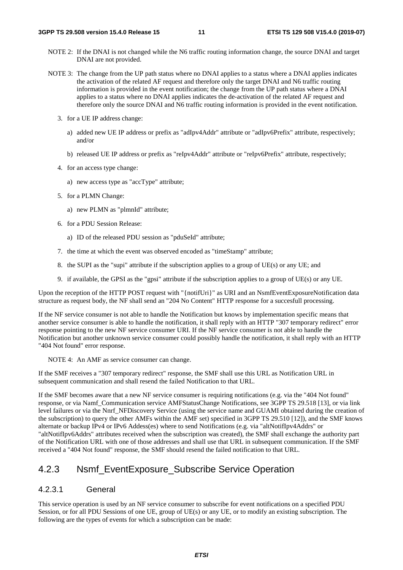- NOTE 2: If the DNAI is not changed while the N6 traffic routing information change, the source DNAI and target DNAI are not provided.
- NOTE 3: The change from the UP path status where no DNAI applies to a status where a DNAI applies indicates the activation of the related AF request and therefore only the target DNAI and N6 traffic routing information is provided in the event notification; the change from the UP path status where a DNAI applies to a status where no DNAI applies indicates the de-activation of the related AF request and therefore only the source DNAI and N6 traffic routing information is provided in the event notification.
	- 3. for a UE IP address change:
		- a) added new UE IP address or prefix as "adIpv4Addr" attribute or "adIpv6Prefix" attribute, respectively; and/or
		- b) released UE IP address or prefix as "reIpv4Addr" attribute or "reIpv6Prefix" attribute, respectively;
	- 4. for an access type change:
		- a) new access type as "accType" attribute;
	- 5. for a PLMN Change:
		- a) new PLMN as "plmnId" attribute;
	- 6. for a PDU Session Release:
		- a) ID of the released PDU session as "pduSeId" attribute;
	- 7. the time at which the event was observed encoded as "timeStamp" attribute;
	- 8. the SUPI as the "supi" attribute if the subscription applies to a group of UE(s) or any UE; and
	- 9. if available, the GPSI as the "gpsi" attribute if the subscription applies to a group of UE(s) or any UE.

Upon the reception of the HTTP POST request with "{notifUri}" as URI and an NsmfEventExposureNotification data structure as request body, the NF shall send an "204 No Content" HTTP response for a succesfull processing.

If the NF service consumer is not able to handle the Notification but knows by implementation specific means that another service consumer is able to handle the notification, it shall reply with an HTTP "307 temporary redirect" error response pointing to the new NF service consumer URI. If the NF service consumer is not able to handle the Notification but another unknown service consumer could possibly handle the notification, it shall reply with an HTTP "404 Not found" error response.

NOTE 4: An AMF as service consumer can change.

If the SMF receives a "307 temporary redirect" response, the SMF shall use this URL as Notification URL in subsequent communication and shall resend the failed Notification to that URL.

If the SMF becomes aware that a new NF service consumer is requiring notifications (e.g. via the "404 Not found" response, or via Namf\_Communication service AMFStatusChange Notifications, see 3GPP TS 29.518 [13], or via link level failures or via the Nnrf\_NFDiscovery Service (using the service name and GUAMI obtained during the creation of the subscription) to query the other AMFs within the AMF set) specified in 3GPP TS 29.510 [12]), and the SMF knows alternate or backup IPv4 or IPv6 Addess(es) where to send Notifications (e.g. via "altNotifIpv4Addrs" or "altNotifIpv6Addrs" attributes received when the subscription was created), the SMF shall exchange the authority part of the Notification URL with one of those addresses and shall use that URL in subsequent communication. If the SMF received a "404 Not found" response, the SMF should resend the failed notification to that URL.

# 4.2.3 Nsmf\_EventExposure\_Subscribe Service Operation

#### 4.2.3.1 General

This service operation is used by an NF service consumer to subscribe for event notifications on a specified PDU Session, or for all PDU Sessions of one UE, group of UE(s) or any UE, or to modify an existing subscription. The following are the types of events for which a subscription can be made: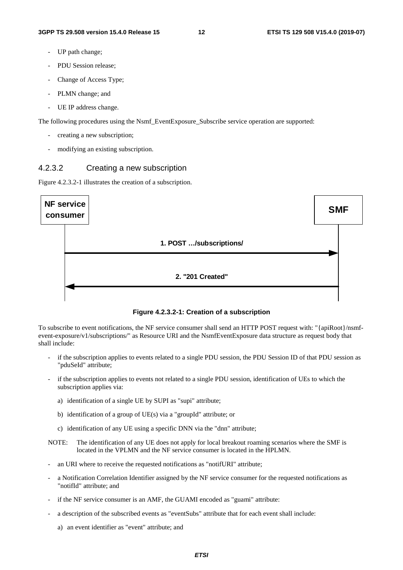- UP path change;
- PDU Session release;
- Change of Access Type:
- PLMN change; and
- UE IP address change.

The following procedures using the Nsmf\_EventExposure\_Subscribe service operation are supported:

- creating a new subscription;
- modifying an existing subscription.

#### 4.2.3.2 Creating a new subscription

Figure 4.2.3.2-1 illustrates the creation of a subscription.



**Figure 4.2.3.2-1: Creation of a subscription** 

To subscribe to event notifications, the NF service consumer shall send an HTTP POST request with: "{apiRoot}/nsmfevent-exposure/v1/subscriptions/" as Resource URI and the NsmfEventExposure data structure as request body that shall include:

- if the subscription applies to events related to a single PDU session, the PDU Session ID of that PDU session as "pduSeId" attribute;
- if the subscription applies to events not related to a single PDU session, identification of UEs to which the subscription applies via:
	- a) identification of a single UE by SUPI as "supi" attribute;
	- b) identification of a group of UE(s) via a "groupId" attribute; or
	- c) identification of any UE using a specific DNN via the "dnn" attribute;
- NOTE: The identification of any UE does not apply for local breakout roaming scenarios where the SMF is located in the VPLMN and the NF service consumer is located in the HPLMN.
- an URI where to receive the requested notifications as "notifURI" attribute;
- a Notification Correlation Identifier assigned by the NF service consumer for the requested notifications as "notifId" attribute; and
- if the NF service consumer is an AMF, the GUAMI encoded as "guami" attribute:
- a description of the subscribed events as "eventSubs" attribute that for each event shall include:
	- a) an event identifier as "event" attribute; and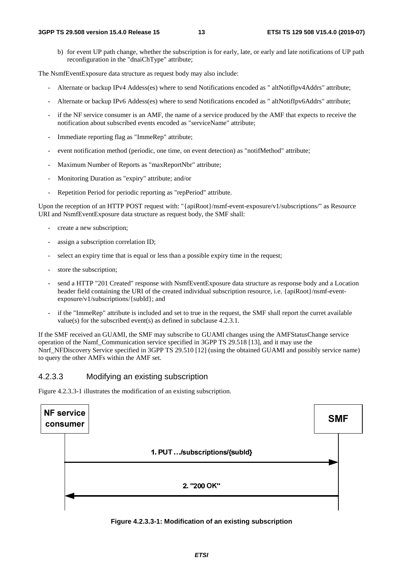b) for event UP path change, whether the subscription is for early, late, or early and late notifications of UP path reconfiguration in the "dnaiChType" attribute;

The NsmfEventExposure data structure as request body may also include:

- Alternate or backup IPv4 Addess(es) where to send Notifications encoded as " altNotifIpv4Addrs" attribute;
- Alternate or backup IPv6 Addess(es) where to send Notifications encoded as " altNotifIpv6Addrs" attribute;
- if the NF service consumer is an AMF, the name of a service produced by the AMF that expects to receive the notification about subscribed events encoded as "serviceName" attribute;
- Immediate reporting flag as "ImmeRep" attribute;
- event notification method (periodic, one time, on event detection) as "notifMethod" attribute;
- Maximum Number of Reports as "maxReportNbr" attribute;
- Monitoring Duration as "expiry" attribute; and/or
- Repetition Period for periodic reporting as "repPeriod" attribute.

Upon the reception of an HTTP POST request with: "{apiRoot}/nsmf-event-exposure/v1/subscriptions/" as Resource URI and NsmfEventExposure data structure as request body, the SMF shall:

- create a new subscription;
- assign a subscription correlation ID;
- select an expiry time that is equal or less than a possible expiry time in the request;
- store the subscription;
- send a HTTP "201 Created" response with NsmfEventExposure data structure as response body and a Location header field containing the URI of the created individual subscription resource, i.e. {apiRoot}/nsmf-eventexposure/v1/subscriptions/{subId}; and
- if the "ImmeRep" attribute is included and set to true in the request, the SMF shall report the curret available value(s) for the subscribed event(s) as defined in subclause 4.2.3.1.

If the SMF received an GUAMI, the SMF may subscribe to GUAMI changes using the AMFStatusChange service operation of the Namf\_Communication service specified in 3GPP TS 29.518 [13], and it may use the Nnrf\_NFDiscovery Service specified in 3GPP TS 29.510 [12] (using the obtained GUAMI and possibly service name) to query the other AMFs within the AMF set.

#### 4.2.3.3 Modifying an existing subscription

Figure 4.2.3.3-1 illustrates the modification of an existing subscription.



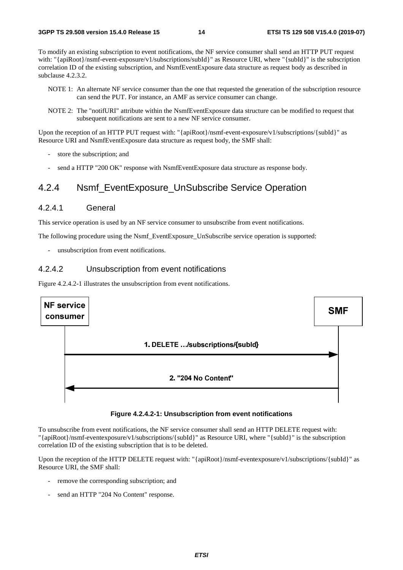To modify an existing subscription to event notifications, the NF service consumer shall send an HTTP PUT request with: "{apiRoot}/nsmf-event-exposure/v1/subscriptions/subId}" as Resource URI, where "{subId}" is the subscription correlation ID of the existing subscription, and NsmfEventExposure data structure as request body as described in subclause 4.2.3.2.

- NOTE 1: An alternate NF service consumer than the one that requested the generation of the subscription resource can send the PUT. For instance, an AMF as service consumer can change.
- NOTE 2: The "notifURI" attribute within the NsmfEventExposure data structure can be modified to request that subsequent notifications are sent to a new NF service consumer.

Upon the reception of an HTTP PUT request with: "{apiRoot}/nsmf-event-exposure/v1/subscriptions/{subId}" as Resource URI and NsmfEventExposure data structure as request body, the SMF shall:

- store the subscription; and
- send a HTTP "200 OK" response with NsmfEventExposure data structure as response body.

### 4.2.4 Nsmf\_EventExposure\_UnSubscribe Service Operation

#### 4.2.4.1 General

This service operation is used by an NF service consumer to unsubscribe from event notifications.

The following procedure using the Nsmf\_EventExposure\_UnSubscribe service operation is supported:

unsubscription from event notifications.

#### 4.2.4.2 Unsubscription from event notifications

Figure 4.2.4.2-1 illustrates the unsubscription from event notifications.



#### **Figure 4.2.4.2-1: Unsubscription from event notifications**

To unsubscribe from event notifications, the NF service consumer shall send an HTTP DELETE request with: "{apiRoot}/nsmf-eventexposure/v1/subscriptions/{subId}" as Resource URI, where "{subId}" is the subscription correlation ID of the existing subscription that is to be deleted.

Upon the reception of the HTTP DELETE request with: "{apiRoot}/nsmf-eventexposure/v1/subscriptions/{subId}" as Resource URI, the SMF shall:

- remove the corresponding subscription; and
- send an HTTP "204 No Content" response.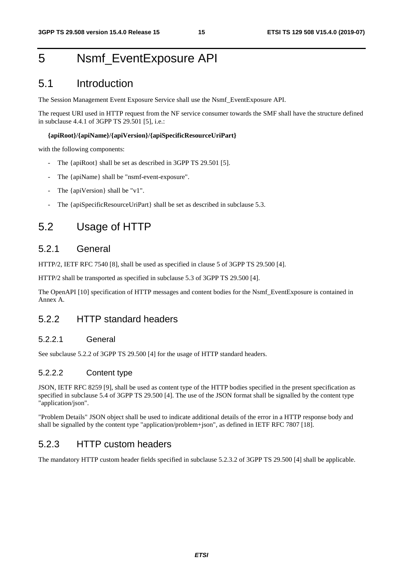# 5 Nsmf\_EventExposure API

# 5.1 Introduction

The Session Management Event Exposure Service shall use the Nsmf\_EventExposure API.

The request URI used in HTTP request from the NF service consumer towards the SMF shall have the structure defined in subclause 4.4.1 of 3GPP TS 29.501 [5], i.e.:

#### **{apiRoot}/{apiName}/{apiVersion}/{apiSpecificResourceUriPart}**

with the following components:

- The {apiRoot} shall be set as described in 3GPP TS 29.501 [5].
- The {apiName} shall be "nsmf-event-exposure".
- The {apiVersion} shall be "v1".
- The {apiSpecificResourceUriPart} shall be set as described in subclause 5.3.

# 5.2 Usage of HTTP

### 5.2.1 General

HTTP/2, IETF RFC 7540 [8], shall be used as specified in clause 5 of 3GPP TS 29.500 [4].

HTTP/2 shall be transported as specified in subclause 5.3 of 3GPP TS 29.500 [4].

The OpenAPI [10] specification of HTTP messages and content bodies for the Nsmf\_EventExposure is contained in Annex A.

### 5.2.2 HTTP standard headers

#### 5.2.2.1 General

See subclause 5.2.2 of 3GPP TS 29.500 [4] for the usage of HTTP standard headers.

#### 5.2.2.2 Content type

JSON, IETF RFC 8259 [9], shall be used as content type of the HTTP bodies specified in the present specification as specified in subclause 5.4 of 3GPP TS 29.500 [4]. The use of the JSON format shall be signalled by the content type "application/json".

"Problem Details" JSON object shall be used to indicate additional details of the error in a HTTP response body and shall be signalled by the content type "application/problem+json", as defined in IETF RFC 7807 [18].

### 5.2.3 HTTP custom headers

The mandatory HTTP custom header fields specified in subclause 5.2.3.2 of 3GPP TS 29.500 [4] shall be applicable.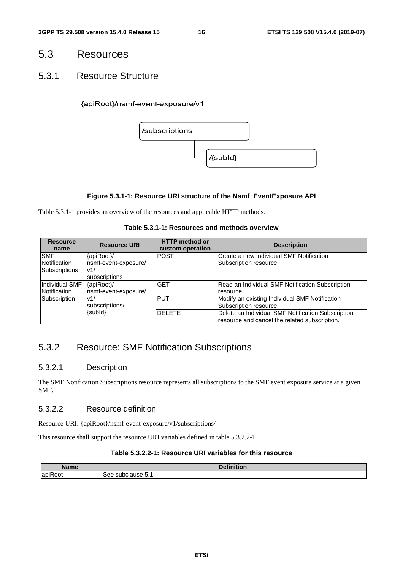# 5.3 Resources

### 5.3.1 Resource Structure

{apiRoot}/nsmf-event-exposure/v1



#### **Figure 5.3.1-1: Resource URI structure of the Nsmf\_EventExposure API**

Table 5.3.1-1 provides an overview of the resources and applicable HTTP methods.

#### **Table 5.3.1-1: Resources and methods overview**

| <b>Resource</b><br>name | <b>Resource URI</b>   | <b>HTTP</b> method or<br>custom operation | <b>Description</b>                                 |
|-------------------------|-----------------------|-------------------------------------------|----------------------------------------------------|
| <b>SMF</b>              | {apiRoot}/            | <b>POST</b>                               | Create a new Individual SMF Notification           |
| Notification            | nsmf-event-exposure/  |                                           | Subscription resource.                             |
| <b>Subscriptions</b>    | v1/                   |                                           |                                                    |
|                         | <b>Isubscriptions</b> |                                           |                                                    |
| Individual SMF          | {apiRoot}/            | <b>GET</b>                                | Read an Individual SMF Notification Subscription   |
| Notification            | nsmf-event-exposure/  |                                           | resource.                                          |
| Subscription            | v1/                   | <b>PUT</b>                                | Modify an existing Individual SMF Notification     |
|                         | subscriptions/        |                                           | Subscription resource.                             |
|                         | {subId}               | <b>DELETE</b>                             | Delete an Individual SMF Notification Subscription |
|                         |                       |                                           | resource and cancel the related subscription.      |

# 5.3.2 Resource: SMF Notification Subscriptions

#### 5.3.2.1 Description

The SMF Notification Subscriptions resource represents all subscriptions to the SMF event exposure service at a given SMF.

#### 5.3.2.2 Resource definition

Resource URI: {apiRoot}/nsmf-event-exposure/v1/subscriptions/

This resource shall support the resource URI variables defined in table 5.3.2.2-1.

#### **Table 5.3.2.2-1: Resource URI variables for this resource**

| . .<br>، ممرم ا      | .<br>n.c.<br>- - -<br>--                |
|----------------------|-----------------------------------------|
| $\cdot$ $-$<br>lapil | $\sim$<br>see<br>⊸uvu<br>duse.<br><br>. |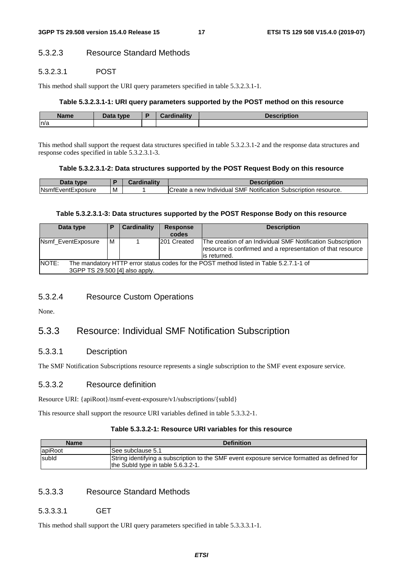#### 5.3.2.3 Resource Standard Methods

#### 5.3.2.3.1 POST

This method shall support the URI query parameters specified in table 5.3.2.3.1-1.

#### **Table 5.3.2.3.1-1: URI query parameters supported by the POST method on this resource**

| <b>Name</b> | Data type | <b>Cordinality</b><br>manty | uon |
|-------------|-----------|-----------------------------|-----|
| n/a         |           |                             |     |

This method shall support the request data structures specified in table 5.3.2.3.1-2 and the response data structures and response codes specified in table 5.3.2.3.1-3.

#### **Table 5.3.2.3.1-2: Data structures supported by the POST Request Body on this resource**

| Jata type                |   | Description                                                      |
|--------------------------|---|------------------------------------------------------------------|
| <b>NsmfEventExposure</b> | M | ICreate a new Individual SMF Notification Subscription resource. |

#### **Table 5.3.2.3.1-3: Data structures supported by the POST Response Body on this resource**

| Data type                                                                                                                         | D | <b>Cardinality</b> | <b>Response</b><br>codes | <b>Description</b>                                                                                                                          |
|-----------------------------------------------------------------------------------------------------------------------------------|---|--------------------|--------------------------|---------------------------------------------------------------------------------------------------------------------------------------------|
| Nsmf EventExposure                                                                                                                | м |                    | 201 Created              | The creation of an Individual SMF Notification Subscription<br>resource is confirmed and a representation of that resource<br>lis returned. |
| NOTE:<br>The mandatory HTTP error status codes for the POST method listed in Table 5.2.7.1-1 of<br>3GPP TS 29.500 [4] also apply. |   |                    |                          |                                                                                                                                             |

#### 5.3.2.4 Resource Custom Operations

None.

### 5.3.3 Resource: Individual SMF Notification Subscription

#### 5.3.3.1 Description

The SMF Notification Subscriptions resource represents a single subscription to the SMF event exposure service.

#### 5.3.3.2 Resource definition

Resource URI: {apiRoot}/nsmf-event-exposure/v1/subscriptions/{subId}

This resource shall support the resource URI variables defined in table 5.3.3.2-1.

#### **Table 5.3.3.2-1: Resource URI variables for this resource**

| <b>Name</b> | <b>Definition</b>                                                                                                                  |
|-------------|------------------------------------------------------------------------------------------------------------------------------------|
| apiRoot     | See subclause 5.1                                                                                                                  |
| subld       | String identifying a subscription to the SMF event exposure service formatted as defined for<br>the Subld type in table 5.6.3.2-1. |

#### 5.3.3.3 Resource Standard Methods

#### 5.3.3.3.1 GET

This method shall support the URI query parameters specified in table 5.3.3.3.1-1.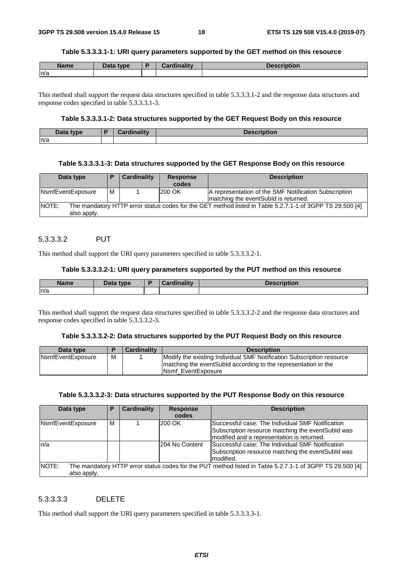#### **Table 5.3.3.3.1-1: URI query parameters supported by the GET method on this resource**

| <b>Name</b> | Data type | Cardinality<br>unanu | <b>Description</b> |
|-------------|-----------|----------------------|--------------------|
| ln/a        |           |                      |                    |

This method shall support the request data structures specified in table 5.3.3.3.1-2 and the response data structures and response codes specified in table 5.3.3.3.1-3.

#### **Table 5.3.3.3.1-2: Data structures supported by the GET Request Body on this resource**

| Data type | $\mathbf{r}$<br>.<br>r., | ,<br>.<br>Desc.<br>unuun |
|-----------|--------------------------|--------------------------|
| ln/a      |                          |                          |

#### **Table 5.3.3.3.1-3: Data structures supported by the GET Response Body on this resource**

| Data type                                                                                                                         | D | Cardinality | <b>Response</b><br>codes | <b>Description</b>                                                                             |  |
|-----------------------------------------------------------------------------------------------------------------------------------|---|-------------|--------------------------|------------------------------------------------------------------------------------------------|--|
| NsmfEventExposure                                                                                                                 | м |             | 1200 OK                  | A representation of the SMF Notification Subscription<br>Imatching the eventSubid is returned. |  |
| INOTE:<br>The mandatory HTTP error status codes for the GET method listed in Table 5.2.7.1-1 of 3GPP TS 29.500 [4]<br>also apply. |   |             |                          |                                                                                                |  |

#### 5.3.3.3.2 PUT

This method shall support the URI query parameters specified in table 5.3.3.3.2-1.

#### **Table 5.3.3.3.2-1: URI query parameters supported by the PUT method on this resource**

| <b>Name</b> | <b>Example 12</b> | .<br> | ∖tion |
|-------------|-------------------|-------|-------|
| ln/a        |                   |       |       |

This method shall support the request data structures specified in table 5.3.3.3.2-2 and the response data structures and response codes specified in table 5.3.3.3.2-3.

#### **Table 5.3.3.3.2-2: Data structures supported by the PUT Request Body on this resource**

| Data type                 |   | <b>Cardinality</b> | <b>Description</b>                                                                                                                       |
|---------------------------|---|--------------------|------------------------------------------------------------------------------------------------------------------------------------------|
| <b>N</b> smfEventExposure | M |                    | Modify the existing Individual SMF Notification Subscription resource<br>Imatching the eventSubId according to the representation in the |
|                           |   |                    | <b>INsmf EventExposure</b>                                                                                                               |

#### **Table 5.3.3.3.2-3: Data structures supported by the PUT Response Body on this resource**

| Data type             | P                                                                                                        | <b>Cardinality</b> | <b>Response</b><br>codes | <b>Description</b>                                                                                                                                   |  |  |  |
|-----------------------|----------------------------------------------------------------------------------------------------------|--------------------|--------------------------|------------------------------------------------------------------------------------------------------------------------------------------------------|--|--|--|
| NsmfEventExposure     | M                                                                                                        |                    | 200 OK                   | Successful case: The Individual SMF Notification<br>Subscription resource matching the event Subld was<br>modified and a representation is returned. |  |  |  |
| n/a                   |                                                                                                          |                    | 204 No Content           | Successful case: The Individual SMF Notification<br>Subscription resource matching the event Subld was<br>modified.                                  |  |  |  |
| INOTE:<br>also apply. | The mandatory HTTP error status codes for the PUT method listed in Table 5.2.7.1-1 of 3GPP TS 29.500 [4] |                    |                          |                                                                                                                                                      |  |  |  |

#### 5.3.3.3.3 DELETE

This method shall support the URI query parameters specified in table 5.3.3.3.3-1.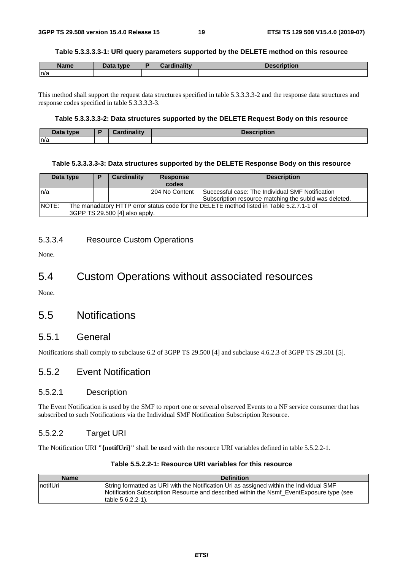#### **Table 5.3.3.3.3-1: URI query parameters supported by the DELETE method on this resource**

| <b>Name</b> | Data type<br>Dala | <b>Cardinality</b> | <b>Description</b> |
|-------------|-------------------|--------------------|--------------------|
| n/a         |                   |                    |                    |

This method shall support the request data structures specified in table 5.3.3.3.3-2 and the response data structures and response codes specified in table 5.3.3.3.3-3.

#### **Table 5.3.3.3.3-2: Data structures supported by the DELETE Request Body on this resource**

| Data type | <b>Cordinality</b><br>чшань.<br><b>The State</b> | <b>Description</b> |
|-----------|--------------------------------------------------|--------------------|
| n/a       |                                                  |                    |

#### **Table 5.3.3.3.3-3: Data structures supported by the DELETE Response Body on this resource**

| Data type                                                                                                                            |  | Cardinality | <b>Response</b><br>codes | <b>Description</b>                                                                                        |  |  |
|--------------------------------------------------------------------------------------------------------------------------------------|--|-------------|--------------------------|-----------------------------------------------------------------------------------------------------------|--|--|
| ln/a                                                                                                                                 |  |             | 204 No Content           | Successful case: The Individual SMF Notification<br>Subscription resource matching the subid was deleted. |  |  |
| INOTE:<br>The manadatory HTTP error status code for the DELETE method listed in Table 5.2.7.1-1 of<br>3GPP TS 29.500 [4] also apply. |  |             |                          |                                                                                                           |  |  |

#### 5.3.3.4 Resource Custom Operations

None.

# 5.4 Custom Operations without associated resources

None.

### 5.5 Notifications

#### 5.5.1 General

Notifications shall comply to subclause 6.2 of 3GPP TS 29.500 [4] and subclause 4.6.2.3 of 3GPP TS 29.501 [5].

### 5.5.2 Event Notification

#### 5.5.2.1 Description

The Event Notification is used by the SMF to report one or several observed Events to a NF service consumer that has subscribed to such Notifications via the Individual SMF Notification Subscription Resource.

#### 5.5.2.2 Target URI

The Notification URI **"{notifUri}"** shall be used with the resource URI variables defined in table 5.5.2.2-1.

#### **Table 5.5.2.2-1: Resource URI variables for this resource**

| <b>Name</b> | <b>Definition</b>                                                                                                                                                                   |
|-------------|-------------------------------------------------------------------------------------------------------------------------------------------------------------------------------------|
| InotifUri   | String formatted as URI with the Notification Uri as assigned within the Individual SMF<br>Notification Subscription Resource and described within the Nsmf EventExposure type (see |
|             | Itable 5.6.2.2-1).                                                                                                                                                                  |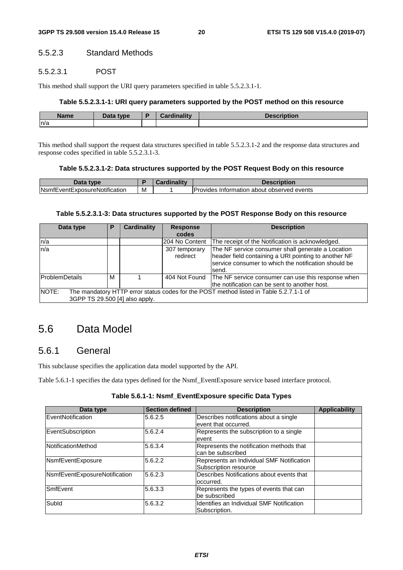#### 5.5.2.3 Standard Methods

#### 5.5.2.3.1 POST

This method shall support the URI query parameters specified in table 5.5.2.3.1-1.

#### **Table 5.5.2.3.1-1: URI query parameters supported by the POST method on this resource**

| <b>Name</b> | Data type | Cardinality | <b>scription</b> |
|-------------|-----------|-------------|------------------|
| n/a         |           |             |                  |

This method shall support the request data structures specified in table 5.5.2.3.1-2 and the response data structures and response codes specified in table 5.5.2.3.1-3.

#### **Table 5.5.2.3.1-2: Data structures supported by the POST Request Body on this resource**

| Data<br>tvne                          |   | inalitv | Description                                                 |
|---------------------------------------|---|---------|-------------------------------------------------------------|
| <b>N</b> smfEventExposureNotification | м |         | <b>Provides</b><br>i about observed events<br>. Information |

#### **Table 5.5.2.3.1-3: Data structures supported by the POST Response Body on this resource**

| Data type                                                                                       | Р | <b>Cardinality</b> | <b>Response</b> | <b>Description</b>                                               |  |  |  |
|-------------------------------------------------------------------------------------------------|---|--------------------|-----------------|------------------------------------------------------------------|--|--|--|
|                                                                                                 |   |                    | codes           |                                                                  |  |  |  |
| n/a                                                                                             |   |                    | 204 No Content  | The receipt of the Notification is acknowledged.                 |  |  |  |
| ln/a                                                                                            |   |                    | 307 temporary   | The NF service consumer shall generate a Location                |  |  |  |
|                                                                                                 |   |                    | redirect        | header field containing a URI pointing to another NF             |  |  |  |
|                                                                                                 |   |                    |                 | service consumer to which the notification should be             |  |  |  |
|                                                                                                 |   |                    |                 | send.                                                            |  |  |  |
| ProblemDetails                                                                                  | м |                    |                 | 404 Not Found The NF service consumer can use this response when |  |  |  |
|                                                                                                 |   |                    |                 | the notification can be sent to another host.                    |  |  |  |
| NOTE:<br>The mandatory HTTP error status codes for the POST method listed in Table 5.2.7.1-1 of |   |                    |                 |                                                                  |  |  |  |
| 3GPP TS 29.500 [4] also apply.                                                                  |   |                    |                 |                                                                  |  |  |  |

# 5.6 Data Model

### 5.6.1 General

This subclause specifies the application data model supported by the API.

Table 5.6.1-1 specifies the data types defined for the Nsmf\_EventExposure service based interface protocol.

#### **Table 5.6.1-1: Nsmf\_EventExposure specific Data Types**

| Data type                     | <b>Section defined</b> | <b>Description</b>                                                 | <b>Applicability</b> |
|-------------------------------|------------------------|--------------------------------------------------------------------|----------------------|
| EventNotification             | 5.6.2.5                | Describes notifications about a single<br>event that occurred.     |                      |
| EventSubscription             | 5.6.2.4                | Represents the subscription to a single<br>event                   |                      |
| <b>NotificationMethod</b>     | 5.6.3.4                | Represents the notification methods that<br>can be subscribed      |                      |
| NsmfEventExposure             | 5.6.2.2                | Represents an Individual SMF Notification<br>Subscription resource |                      |
| NsmfEventExposureNotification | 5.6.2.3                | Describes Notifications about events that<br>occurred.             |                      |
| <b>SmfEvent</b>               | 5.6.3.3                | Represents the types of events that can<br>be subscribed           |                      |
| Subld                         | 5.6.3.2                | <b>Identifies an Individual SMF Notification</b><br>Subscription.  |                      |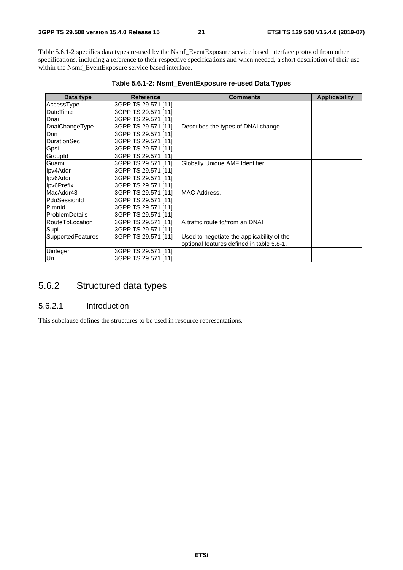Table 5.6.1-2 specifies data types re-used by the Nsmf\_EventExposure service based interface protocol from other specifications, including a reference to their respective specifications and when needed, a short description of their use within the Nsmf\_EventExposure service based interface.

| Data type             | <b>Reference</b>    | <b>Comments</b>                            | <b>Applicability</b> |
|-----------------------|---------------------|--------------------------------------------|----------------------|
| AccessType            | 3GPP TS 29.571 [11] |                                            |                      |
| DateTime              | 3GPP TS 29.571 [11] |                                            |                      |
| Dnai                  | 3GPP TS 29.571 [11] |                                            |                      |
| DnaiChangeType        | 3GPP TS 29.571 [11] | Describes the types of DNAI change.        |                      |
| Dnn                   | 3GPP TS 29.571 [11] |                                            |                      |
| <b>DurationSec</b>    | 3GPP TS 29.571 [11] |                                            |                      |
| Gpsi                  | 3GPP TS 29.571 [11] |                                            |                      |
| GroupId               | 3GPP TS 29.571 [11] |                                            |                      |
| Guami                 | 3GPP TS 29.571 [11] | Globally Unique AMF Identifier             |                      |
| Ipv4Addr              | 3GPP TS 29.571 [11] |                                            |                      |
| Ipv6Addr              | 3GPP TS 29.571 [11] |                                            |                      |
| Ipv6Prefix            | 3GPP TS 29.571 [11] |                                            |                      |
| MacAddr48             | 3GPP TS 29.571 [11] | MAC Address.                               |                      |
| PduSessionId          | 3GPP TS 29.571 [11] |                                            |                      |
| Pimnid                | 3GPP TS 29.571 [11] |                                            |                      |
| <b>ProblemDetails</b> | 3GPP TS 29.571 [11] |                                            |                      |
| RouteToLocation       | 3GPP TS 29.571 [11] | A traffic route to/from an DNAI            |                      |
| Supi                  | 3GPP TS 29.571 [11] |                                            |                      |
| SupportedFeatures     | 3GPP TS 29.571 [11] | Used to negotiate the applicability of the |                      |
|                       |                     | optional features defined in table 5.8-1.  |                      |
| Uinteger              | 3GPP TS 29.571 [11] |                                            |                      |
| Uri                   | 3GPP TS 29.571 [11] |                                            |                      |

**Table 5.6.1-2: Nsmf\_EventExposure re-used Data Types** 

### 5.6.2 Structured data types

#### 5.6.2.1 Introduction

This subclause defines the structures to be used in resource representations.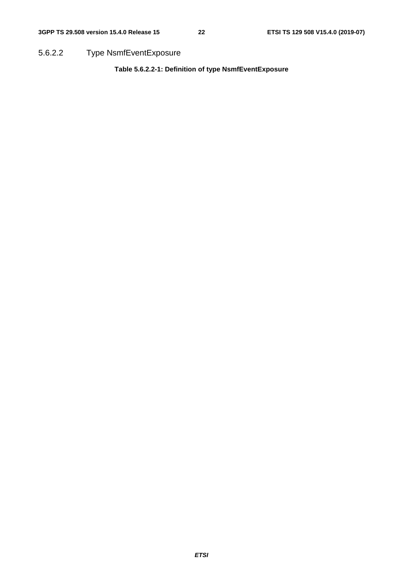5.6.2.2 Type NsmfEventExposure

**Table 5.6.2.2-1: Definition of type NsmfEventExposure**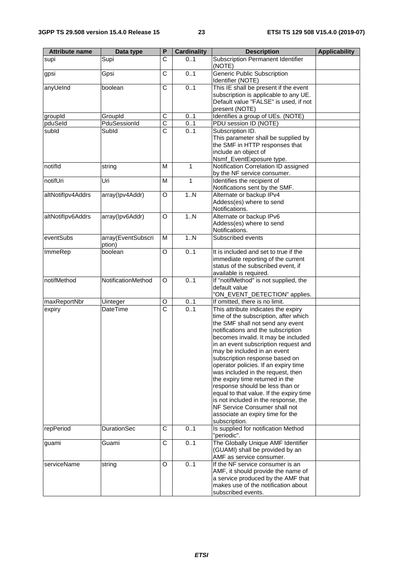| <b>Attribute name</b> | Data type                    | P                       | <b>Cardinality</b> | <b>Description</b>                                                                                                                                                                                                                                                                                                                                                                                                                                                                                                                                                                                                                 | <b>Applicability</b> |
|-----------------------|------------------------------|-------------------------|--------------------|------------------------------------------------------------------------------------------------------------------------------------------------------------------------------------------------------------------------------------------------------------------------------------------------------------------------------------------------------------------------------------------------------------------------------------------------------------------------------------------------------------------------------------------------------------------------------------------------------------------------------------|----------------------|
| supi                  | Supi                         | C                       | 0.1                | <b>Subscription Permanent Identifier</b><br>(NOTE)                                                                                                                                                                                                                                                                                                                                                                                                                                                                                                                                                                                 |                      |
| gpsi                  | Gpsi                         | $\overline{\text{c}}$   | 0.1                | <b>Generic Public Subscription</b><br>Identifier (NOTE)                                                                                                                                                                                                                                                                                                                                                                                                                                                                                                                                                                            |                      |
| anyUeInd              | boolean                      | C                       | 0.1                | This IE shall be present if the event<br>subscription is applicable to any UE.<br>Default value "FALSE" is used, if not<br>present (NOTE)                                                                                                                                                                                                                                                                                                                                                                                                                                                                                          |                      |
| groupId               | GroupId                      | C                       | 0.1                | Identifies a group of UEs. (NOTE)                                                                                                                                                                                                                                                                                                                                                                                                                                                                                                                                                                                                  |                      |
| pduSeld               | PduSessionId                 | $\overline{\text{c}}$   | 01                 | PDU session ID (NOTE)                                                                                                                                                                                                                                                                                                                                                                                                                                                                                                                                                                                                              |                      |
| subld                 | Subld                        | $\overline{\text{c}}$   | 0.1                | Subscription ID.<br>This parameter shall be supplied by<br>the SMF in HTTP responses that<br>include an object of<br>Nsmf_EventExposure type.                                                                                                                                                                                                                                                                                                                                                                                                                                                                                      |                      |
| notifld               | string                       | M                       | $\mathbf{1}$       | Notification Correlation ID assigned<br>by the NF service consumer.                                                                                                                                                                                                                                                                                                                                                                                                                                                                                                                                                                |                      |
| notifUri              | Uri                          | M                       | 1                  | Identifies the recipient of<br>Notifications sent by the SMF.                                                                                                                                                                                                                                                                                                                                                                                                                                                                                                                                                                      |                      |
| altNotiflpv4Addrs     | array(Ipv4Addr)              | O                       | 1N                 | Alternate or backup IPv4<br>Addess(es) where to send<br>Notifications.                                                                                                                                                                                                                                                                                                                                                                                                                                                                                                                                                             |                      |
| altNotiflpv6Addrs     | array(Ipv6Addr)              | O                       | 1N                 | Alternate or backup IPv6<br>Addess(es) where to send<br>Notifications.                                                                                                                                                                                                                                                                                                                                                                                                                                                                                                                                                             |                      |
| eventSubs             | array(EventSubscri<br>ption) | M                       | 1N                 | Subscribed events                                                                                                                                                                                                                                                                                                                                                                                                                                                                                                                                                                                                                  |                      |
| ImmeRep               | boolean                      | $\overline{\mathsf{o}}$ | 0.1                | It is included and set to true if the<br>immediate reporting of the current<br>status of the subscribed event, if<br>available is required.                                                                                                                                                                                                                                                                                                                                                                                                                                                                                        |                      |
| notifMethod           | NotificationMethod           | O                       | 0.1                | If "notifMethod" is not supplied, the<br>default value<br>"ON_EVENT_DETECTION" applies.                                                                                                                                                                                                                                                                                                                                                                                                                                                                                                                                            |                      |
| maxReportNbr          | Uinteger                     | O                       | 01                 | If omitted, there is no limit.                                                                                                                                                                                                                                                                                                                                                                                                                                                                                                                                                                                                     |                      |
| expiry                | DateTime                     | $\overline{\text{c}}$   | 0.1                | This attribute indicates the expiry<br>time of the subscription, after which<br>the SMF shall not send any event<br>notifications and the subscription<br>becomes invalid. It may be included<br>in an event subscription request and<br>may be included in an event<br>subscription response based on<br>operator policies. If an expiry time<br>was included in the request, then<br>the expiry time returned in the<br>response should be less than or<br>equal to that value. If the expiry time<br>is not included in the response, the<br>NF Service Consumer shall not<br>associate an expiry time for the<br>subscription. |                      |
| repPeriod             | <b>DurationSec</b>           | C                       | 01                 | Is supplied for notification Method<br>"periodic".                                                                                                                                                                                                                                                                                                                                                                                                                                                                                                                                                                                 |                      |
| guami                 | Guami                        | C                       | 0.1                | The Globally Unique AMF Identifier<br>(GUAMI) shall be provided by an<br>AMF as service consumer.                                                                                                                                                                                                                                                                                                                                                                                                                                                                                                                                  |                      |
| serviceName           | string                       | O                       | 0.1                | If the NF service consumer is an<br>AMF, it should provide the name of<br>a service produced by the AMF that<br>makes use of the notification about<br>subscribed events.                                                                                                                                                                                                                                                                                                                                                                                                                                                          |                      |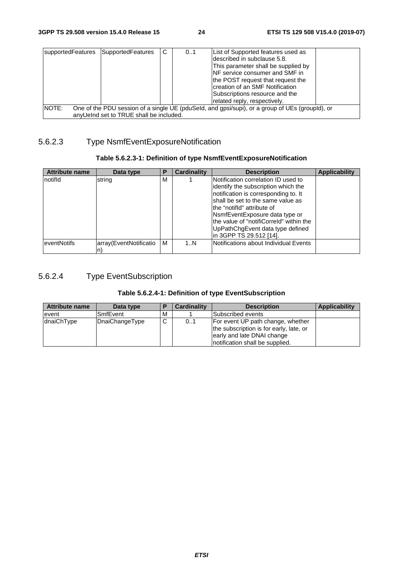| supportedFeatures | SupportedFeatures                       | C | 01 | List of Supported features used as<br>ldescribed in subclause 5.8.<br>This parameter shall be supplied by<br><b>INF</b> service consumer and SMF in<br>the POST request that request the<br>creation of an SMF Notification<br>Subscriptions resource and the<br>related reply, respectively. |  |
|-------------------|-----------------------------------------|---|----|-----------------------------------------------------------------------------------------------------------------------------------------------------------------------------------------------------------------------------------------------------------------------------------------------|--|
| INOTE:            | anyUeInd set to TRUE shall be included. |   |    | One of the PDU session of a single UE (pduSeld, and gpsi/supi), or a group of UEs (groupld), or                                                                                                                                                                                               |  |

### 5.6.2.3 Type NsmfEventExposureNotification

#### **Table 5.6.2.3-1: Definition of type NsmfEventExposureNotification**

| Attribute name | Data type              | Р | <b>Cardinality</b> | <b>Description</b>                                                                                                                                                                                                                                                 | <b>Applicability</b> |
|----------------|------------------------|---|--------------------|--------------------------------------------------------------------------------------------------------------------------------------------------------------------------------------------------------------------------------------------------------------------|----------------------|
| Inotifid       | string                 | M |                    | Notification correlation ID used to<br>identify the subscription which the<br>notification is corresponding to. It<br>shall be set to the same value as<br>the "notifid" attribute of<br>NsmfEventExposure data type or<br>the value of "notifiCorreld" within the |                      |
|                |                        |   |                    | UpPathChgEvent data type defined<br>lin 3GPP TS 29.512 [14].                                                                                                                                                                                                       |                      |
| leventNotifs   | array(EventNotificatio | M | 1N                 | Notifications about Individual Events                                                                                                                                                                                                                              |                      |

### 5.6.2.4 Type EventSubscription

#### **Table 5.6.2.4-1: Definition of type EventSubscription**

| Data type      | <b>Cardinality</b> | <b>Description</b> | Applicability                                                                                                                                                      |
|----------------|--------------------|--------------------|--------------------------------------------------------------------------------------------------------------------------------------------------------------------|
| SmfEvent       |                    |                    |                                                                                                                                                                    |
| DnaiChangeType | 0.1                |                    |                                                                                                                                                                    |
|                | M<br>C             |                    | Subscribed events<br>For event UP path change, whether<br>the subscription is for early, late, or<br>early and late DNAI change<br>notification shall be supplied. |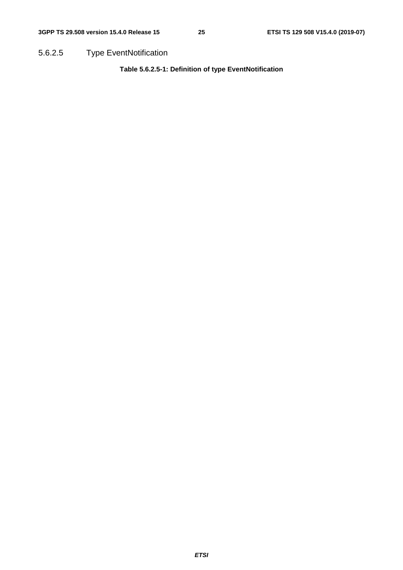5.6.2.5 Type EventNotification

**Table 5.6.2.5-1: Definition of type EventNotification**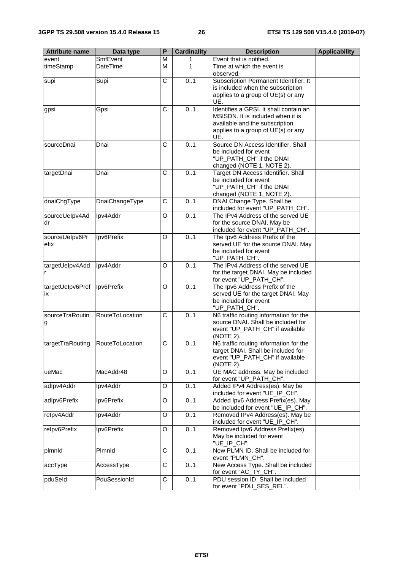| <b>Attribute name</b>  | Data type       | P                     | <b>Cardinality</b> | <b>Description</b>                                                                                                                                         | <b>Applicability</b> |
|------------------------|-----------------|-----------------------|--------------------|------------------------------------------------------------------------------------------------------------------------------------------------------------|----------------------|
| event                  | SmfEvent        | M                     | 1                  | Event that is notified.                                                                                                                                    |                      |
| timeStamp              | <b>DateTime</b> | $\overline{M}$        | 1                  | Time at which the event is<br>observed.                                                                                                                    |                      |
| supi                   | Supi            | C                     | 0.1                | Subscription Permanent Identifier. It<br>is included when the subscription<br>applies to a group of UE(s) or any<br>UE.                                    |                      |
| gpsi                   | Gpsi            | C                     | 0.1                | Identifies a GPSI. It shall contain an<br>MSISDN. It is included when it is<br>available and the subscription<br>applies to a group of UE(s) or any<br>UE. |                      |
| sourceDnai             | Dnai            | C                     | 0.1                | Source DN Access Identifier. Shall<br>be included for event<br>"UP_PATH_CH" if the DNAI<br>changed (NOTE 1, NOTE 2).                                       |                      |
| targetDnai             | Dnai            | $\overline{\text{c}}$ | 0.1                | Target DN Access Identifier. Shall<br>be included for event<br>"UP_PATH_CH" if the DNAI<br>changed (NOTE 1, NOTE 2).                                       |                      |
| dnaiChgType            | DnaiChangeType  | C                     | 0.1                | DNAI Change Type. Shall be<br>included for event "UP_PATH_CH".                                                                                             |                      |
| sourceUelpv4Ad<br>dr   | Ipv4Addr        | O                     | 0.1                | The IPv4 Address of the served UE<br>for the source DNAI. May be<br>included for event "UP_PATH_CH".                                                       |                      |
| sourceUelpv6Pr<br>efix | Ipv6Prefix      | $\Omega$              | 0.1                | The Ipv6 Address Prefix of the<br>served UE for the source DNAI. May<br>be included for event<br>"UP_PATH_CH".                                             |                      |
| targetUelpv4Add<br>r   | Ipv4Addr        | O                     | 0.1                | The IPv4 Address of the served UE<br>for the target DNAI. May be included<br>for event "UP_PATH_CH".                                                       |                      |
| targetUelpv6Pref<br>ix | Ipv6Prefix      | O                     | 0.1                | The Ipv6 Address Prefix of the<br>served UE for the target DNAI. May<br>be included for event<br>"UP_PATH_CH".                                             |                      |
| sourceTraRoutin<br>g   | RouteToLocation | C                     | 0.1                | N6 traffic routing information for the<br>source DNAI. Shall be included for<br>event "UP_PATH_CH" if available<br>(NOTE 2).                               |                      |
| targetTraRouting       | RouteToLocation | C                     | 0.1                | N6 traffic routing information for the<br>target DNAI. Shall be included for<br>event "UP_PATH_CH" if available<br>(NOTE 2).                               |                      |
| ueMac                  | MacAddr48       | O                     | 0.1                | UE MAC address. May be included<br>for event "UP_PATH_CH".                                                                                                 |                      |
| adlpv4Addr             | Ipv4Addr        | O                     | 0.1                | Added IPv4 Address(es). May be<br>included for event "UE_IP_CH".                                                                                           |                      |
| adlpv6Prefix           | Ipv6Prefix      | O                     | 0.1                | Added Ipv6 Address Prefix(es). May<br>be included for event "UE_IP_CH".                                                                                    |                      |
| relpv4Addr             | Ipv4Addr        | O                     | 0.1                | Removed IPv4 Address(es). May be<br>included for event "UE_IP_CH".                                                                                         |                      |
| relpv6Prefix           | Ipv6Prefix      | O                     | 0.1                | Removed Ipv6 Address Prefix(es).<br>May be included for event<br>"UE_IP_CH".                                                                               |                      |
| plmnld                 | Plmnld          | $\overline{C}$        | 0.1                | New PLMN ID. Shall be included for<br>event "PLMN_CH".                                                                                                     |                      |
| accType                | AccessType      | С                     | 0.1                | New Access Type. Shall be included<br>for event "AC_TY_CH".                                                                                                |                      |
| pduSeld                | PduSessionId    | C                     | 0.1                | PDU session ID. Shall be included<br>for event "PDU_SES_REL".                                                                                              |                      |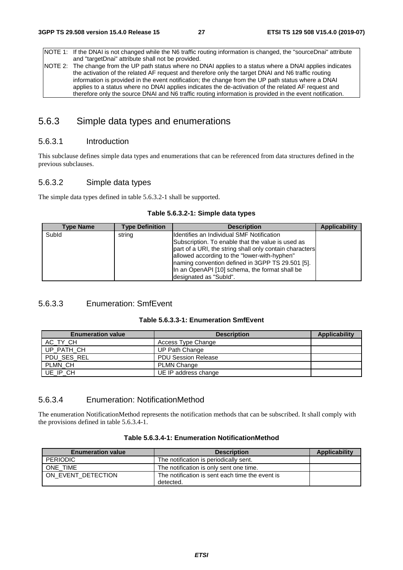NOTE 1: If the DNAI is not changed while the N6 traffic routing information is changed, the "sourceDnai" attribute and "targetDnai" attribute shall not be provided. NOTE 2: The change from the UP path status where no DNAI applies to a status where a DNAI applies indicates the activation of the related AF request and therefore only the target DNAI and N6 traffic routing

information is provided in the event notification; the change from the UP path status where a DNAI applies to a status where no DNAI applies indicates the de-activation of the related AF request and therefore only the source DNAI and N6 traffic routing information is provided in the event notification.

### 5.6.3 Simple data types and enumerations

#### 5.6.3.1 Introduction

This subclause defines simple data types and enumerations that can be referenced from data structures defined in the previous subclauses.

#### 5.6.3.2 Simple data types

The simple data types defined in table 5.6.3.2-1 shall be supported.

|  |  |  | Table 5.6.3.2-1: Simple data types |  |  |
|--|--|--|------------------------------------|--|--|
|--|--|--|------------------------------------|--|--|

| Type Name | <b>Type Definition</b> | <b>Description</b>                                                                                                                                                                                                                                                                                                | <b>Applicability</b> |
|-----------|------------------------|-------------------------------------------------------------------------------------------------------------------------------------------------------------------------------------------------------------------------------------------------------------------------------------------------------------------|----------------------|
| Subld     | string                 | Ildentifies an Individual SMF Notification<br>Subscription. To enable that the value is used as<br>part of a URI, the string shall only contain characters<br>allowed according to the "lower-with-hyphen"<br>Inaming convention defined in 3GPP TS 29.501 [5].<br>In an OpenAPI [10] schema, the format shall be |                      |
|           |                        | designated as "SubId".                                                                                                                                                                                                                                                                                            |                      |

#### 5.6.3.3 Enumeration: SmfEvent

|  | Table 5.6.3.3-1: Enumeration SmfEvent |  |
|--|---------------------------------------|--|
|--|---------------------------------------|--|

| <b>Enumeration value</b> | <b>Description</b>         | Applicability |
|--------------------------|----------------------------|---------------|
| AC TY CH                 | Access Type Change         |               |
| UP PATH CH               | UP Path Change             |               |
| PDU SES REL              | <b>PDU Session Release</b> |               |
| PLMN CH                  | <b>PLMN Change</b>         |               |
| UE IP CH                 | UE IP address change       |               |

#### 5.6.3.4 Enumeration: NotificationMethod

The enumeration NotificationMethod represents the notification methods that can be subscribed. It shall comply with the provisions defined in table 5.6.3.4-1.

| <b>Enumeration value</b> | <b>Description</b>                              | Applicability |
|--------------------------|-------------------------------------------------|---------------|
| PERIODIC                 | The notification is periodically sent.          |               |
| ONE TIME                 | The notification is only sent one time.         |               |
| ON EVENT DETECTION       | The notification is sent each time the event is |               |
|                          | detected.                                       |               |

#### **Table 5.6.3.4-1: Enumeration NotificationMethod**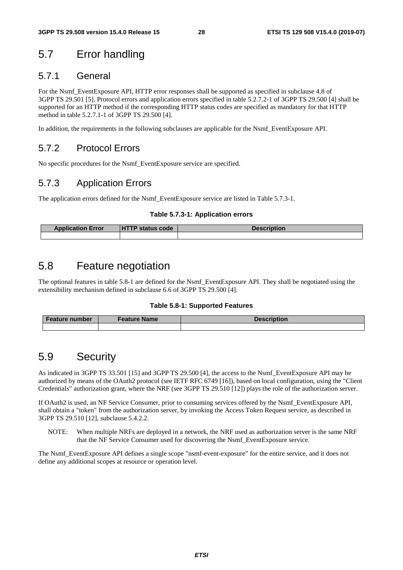# 5.7 Error handling

### 5.7.1 General

For the Nsmf\_EventExposure API, HTTP error responses shall be supported as specified in subclause 4.8 of 3GPP TS 29.501 [5]. Protocol errors and application errors specified in table 5.2.7.2-1 of 3GPP TS 29.500 [4] shall be supported for an HTTP method if the corresponding HTTP status codes are specified as mandatory for that HTTP method in table 5.2.7.1-1 of 3GPP TS 29.500 [4].

In addition, the requirements in the following subclauses are applicable for the Nsmf\_EventExposure API.

# 5.7.2 Protocol Errors

No specific procedures for the Nsmf\_EventExposure service are specified.

# 5.7.3 Application Errors

The application errors defined for the Nsmf\_EventExposure service are listed in Table 5.7.3-1.

#### **Table 5.7.3-1: Application errors**

| <b>Application Error</b> | l HT<br>ſP<br>P status code | <b>Description</b> |
|--------------------------|-----------------------------|--------------------|
|                          |                             |                    |

# 5.8 Feature negotiation

The optional features in table 5.8-1 are defined for the Nsmf\_EventExposure API. They shall be negotiated using the extensibility mechanism defined in subclause 6.6 of 3GPP TS 29.500 [4].

#### **Table 5.8-1: Supported Features**

| <b>Feature number</b> | <b>Feature Name</b> | <b>Description</b> |  |  |
|-----------------------|---------------------|--------------------|--|--|
|                       |                     |                    |  |  |

# 5.9 Security

As indicated in 3GPP TS 33.501 [15] and 3GPP TS 29.500 [4], the access to the Nsmf\_EventExposure API may be authorized by means of the OAuth2 protocol (see IETF RFC 6749 [16]), based on local configuration, using the "Client Credentials" authorization grant, where the NRF (see 3GPP TS 29.510 [12]) plays the role of the authorization server.

If OAuth2 is used, an NF Service Consumer, prior to consuming services offered by the Nsmf\_EventExposure API, shall obtain a "token" from the authorization server, by invoking the Access Token Request service, as described in 3GPP TS 29.510 [12], subclause 5.4.2.2.

NOTE: When multiple NRFs are deployed in a network, the NRF used as authorization server is the same NRF that the NF Service Consumer used for discovering the Nsmf\_EventExposure service.

The Nsmf\_EventExposure API defines a single scope "nsmf-event-exposure" for the entire service, and it does not define any additional scopes at resource or operation level.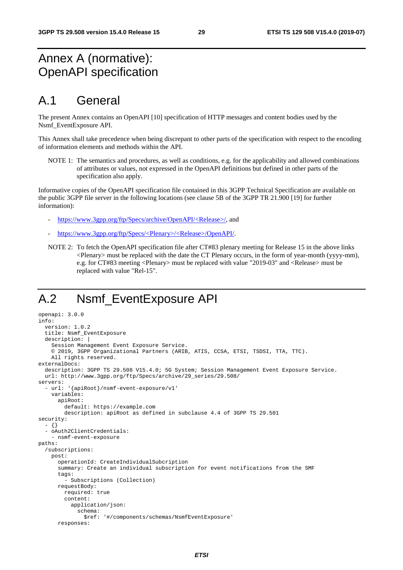# Annex A (normative): OpenAPI specification

# A.1 General

The present Annex contains an OpenAPI [10] specification of HTTP messages and content bodies used by the Nsmf\_EventExposure API.

This Annex shall take precedence when being discrepant to other parts of the specification with respect to the encoding of information elements and methods within the API.

NOTE 1: The semantics and procedures, as well as conditions, e.g. for the applicability and allowed combinations of attributes or values, not expressed in the OpenAPI definitions but defined in other parts of the specification also apply.

Informative copies of the OpenAPI specification file contained in this 3GPP Technical Specification are available on the public 3GPP file server in the following locations (see clause 5B of the 3GPP TR 21.900 [19] for further information):

- [https://www.3gpp.org/ftp/Specs/archive/OpenAPI/<Release>/](https://www.3gpp.org/ftp/Specs/archive/OpenAPI/%3cRelease%3e/), and
- [https://www.3gpp.org/ftp/Specs/<Plenary>/<Release>/OpenAPI/.](https://www.3gpp.org/ftp/Specs/%3cPlenary%3e/%3cRelease%3e/OpenAPI/)
- NOTE 2: To fetch the OpenAPI specification file after CT#83 plenary meeting for Release 15 in the above links <Plenary> must be replaced with the date the CT Plenary occurs, in the form of year-month (yyyy-mm), e.g. for CT#83 meeting <Plenary> must be replaced with value "2019-03" and <Release> must be replaced with value "Rel-15".

# A.2 Nsmf\_EventExposure API

```
openapi: 3.0.0 
info: 
   version: 1.0.2 
   title: Nsmf_EventExposure 
   description: | 
     Session Management Event Exposure Service. 
     © 2019, 3GPP Organizational Partners (ARIB, ATIS, CCSA, ETSI, TSDSI, TTA, TTC). 
     All rights reserved. 
externalDocs: 
   description: 3GPP TS 29.508 V15.4.0; 5G System; Session Management Event Exposure Service. 
   url: http://www.3gpp.org/ftp/Specs/archive/29_series/29.508/ 
servers: 
   - url: '{apiRoot}/nsmf-event-exposure/v1' 
     variables: 
       apiRoot: 
         default: https://example.com 
         description: apiRoot as defined in subclause 4.4 of 3GPP TS 29.501 
security: 
   - {} 
   - oAuth2ClientCredentials: 
     - nsmf-event-exposure 
paths: 
   /subscriptions: 
     post: 
       operationId: CreateIndividualSubcription 
       summary: Create an individual subscription for event notifications from the SMF 
       tags: 
          - Subscriptions (Collection) 
       requestBody: 
         required: true 
         content: 
            application/json: 
              schema: 
                $ref: '#/components/schemas/NsmfEventExposure' 
       responses:
```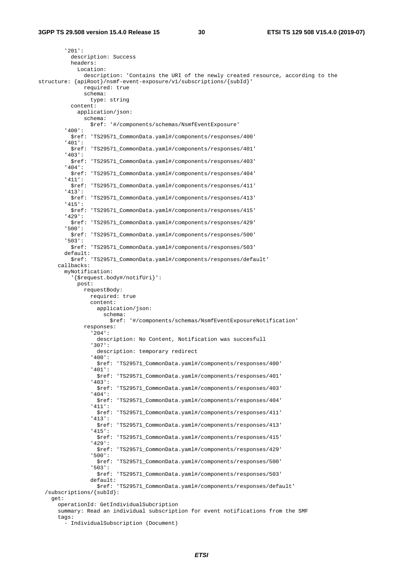'201': description: Success headers: Location: description: 'Contains the URI of the newly created resource, according to the structure: {apiRoot}/nsmf-event-exposure/v1/subscriptions/{subId}' required: true schema: type: string content: application/json: schema: \$ref: '#/components/schemas/NsmfEventExposure' '400': \$ref: 'TS29571\_CommonData.yaml#/components/responses/400' '401': \$ref: 'TS29571\_CommonData.yaml#/components/responses/401' '403': \$ref: 'TS29571\_CommonData.yaml#/components/responses/403' '404': \$ref: 'TS29571\_CommonData.yaml#/components/responses/404' '411': \$ref: 'TS29571\_CommonData.yaml#/components/responses/411' '413': \$ref: 'TS29571\_CommonData.yaml#/components/responses/413' '415': \$ref: 'TS29571\_CommonData.yaml#/components/responses/415' '429': \$ref: 'TS29571\_CommonData.yaml#/components/responses/429' '500': \$ref: 'TS29571\_CommonData.yaml#/components/responses/500' '503': \$ref: 'TS29571\_CommonData.yaml#/components/responses/503' default: \$ref: 'TS29571\_CommonData.yaml#/components/responses/default' callbacks: myNotification: '{\$request.body#/notifUri}': post: requestBody: required: true content: application/ison: schema: \$ref: '#/components/schemas/NsmfEventExposureNotification' responses: '204': description: No Content, Notification was succesfull '307': description: temporary redirect '400': \$ref: 'TS29571\_CommonData.yaml#/components/responses/400' '401': \$ref: 'TS29571\_CommonData.yaml#/components/responses/401' '403': \$ref: 'TS29571\_CommonData.yaml#/components/responses/403' '404': \$ref: 'TS29571\_CommonData.yaml#/components/responses/404' '411': \$ref: 'TS29571\_CommonData.yaml#/components/responses/411' '413': \$ref: 'TS29571\_CommonData.yaml#/components/responses/413' '415': \$ref: 'TS29571\_CommonData.yaml#/components/responses/415' '429': \$ref: 'TS29571\_CommonData.yaml#/components/responses/429' '500': \$ref: 'TS29571\_CommonData.yaml#/components/responses/500' '503': \$ref: 'TS29571\_CommonData.yaml#/components/responses/503' default: \$ref: 'TS29571\_CommonData.yaml#/components/responses/default' /subscriptions/{subId}: get: operationId: GetIndividualSubcription summary: Read an individual subscription for event notifications from the SMF tags: - IndividualSubscription (Document)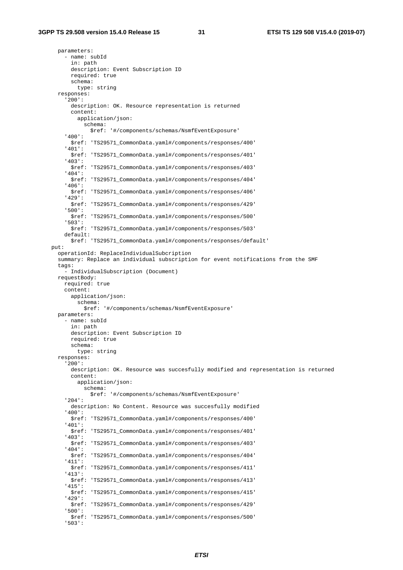parameters: - name: subId in: path description: Event Subscription ID required: true schema: type: string responses: '200': description: OK. Resource representation is returned content: application/json: schema: \$ref: '#/components/schemas/NsmfEventExposure' '400': \$ref: 'TS29571\_CommonData.yaml#/components/responses/400' '401': \$ref: 'TS29571\_CommonData.yaml#/components/responses/401' '403': \$ref: 'TS29571\_CommonData.yaml#/components/responses/403' '404': \$ref: 'TS29571\_CommonData.yaml#/components/responses/404' '406': \$ref: 'TS29571\_CommonData.yaml#/components/responses/406' '429': \$ref: 'TS29571\_CommonData.yaml#/components/responses/429' '500': \$ref: 'TS29571\_CommonData.yaml#/components/responses/500' '503': \$ref: 'TS29571\_CommonData.yaml#/components/responses/503' default: \$ref: 'TS29571\_CommonData.yaml#/components/responses/default' put: operationId: ReplaceIndividualSubcription summary: Replace an individual subscription for event notifications from the SMF tags: - IndividualSubscription (Document) requestBody: required: true content: application/json: schema: \$ref: '#/components/schemas/NsmfEventExposure' parameters: - name: subId in: path description: Event Subscription ID required: true schema: type: string responses: '200': description: OK. Resource was succesfully modified and representation is returned content: application/json: schema: \$ref: '#/components/schemas/NsmfEventExposure' '204': description: No Content. Resource was succesfully modified '400': \$ref: 'TS29571\_CommonData.yaml#/components/responses/400' '401': \$ref: 'TS29571\_CommonData.yaml#/components/responses/401' '403': \$ref: 'TS29571\_CommonData.yaml#/components/responses/403' '404': \$ref: 'TS29571\_CommonData.yaml#/components/responses/404' '411': \$ref: 'TS29571\_CommonData.yaml#/components/responses/411' '413': \$ref: 'TS29571\_CommonData.yaml#/components/responses/413' '415': \$ref: 'TS29571\_CommonData.yaml#/components/responses/415' '429': \$ref: 'TS29571\_CommonData.yaml#/components/responses/429' '500': \$ref: 'TS29571\_CommonData.yaml#/components/responses/500' '503':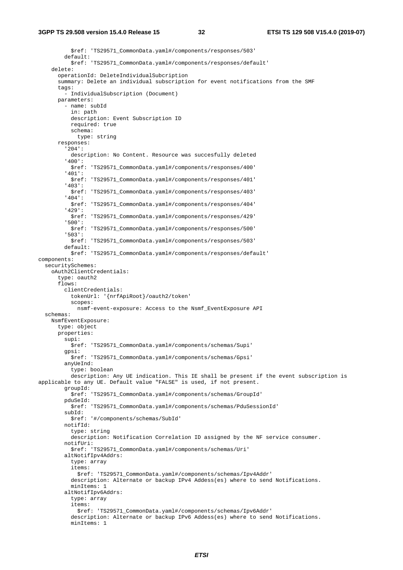\$ref: 'TS29571\_CommonData.yaml#/components/responses/503' default: \$ref: 'TS29571\_CommonData.yaml#/components/responses/default' delete: operationId: DeleteIndividualSubcription summary: Delete an individual subscription for event notifications from the SMF tags: - IndividualSubscription (Document) parameters: - name: subId in: path description: Event Subscription ID required: true schema: type: string responses: '204': description: No Content. Resource was succesfully deleted '400': \$ref: 'TS29571\_CommonData.yaml#/components/responses/400' '401': \$ref: 'TS29571\_CommonData.yaml#/components/responses/401' '403': \$ref: 'TS29571\_CommonData.yaml#/components/responses/403' '404': \$ref: 'TS29571\_CommonData.yaml#/components/responses/404' '429': \$ref: 'TS29571\_CommonData.yaml#/components/responses/429' '500': \$ref: 'TS29571\_CommonData.yaml#/components/responses/500' '503': \$ref: 'TS29571\_CommonData.yaml#/components/responses/503' default: \$ref: 'TS29571\_CommonData.yaml#/components/responses/default' components: securitySchemes: oAuth2ClientCredentials: type: oauth2 flows: clientCredentials: tokenUrl: '{nrfApiRoot}/oauth2/token' scopes: nsmf-event-exposure: Access to the Nsmf\_EventExposure API schemas: NsmfEventExposure: type: object properties: supi: \$ref: 'TS29571\_CommonData.yaml#/components/schemas/Supi' gpsi: \$ref: 'TS29571\_CommonData.yaml#/components/schemas/Gpsi' anyUeInd: type: boolean description: Any UE indication. This IE shall be present if the event subscription is applicable to any UE. Default value "FALSE" is used, if not present. groupId: \$ref: 'TS29571\_CommonData.yaml#/components/schemas/GroupId' pduSeId: \$ref: 'TS29571\_CommonData.yaml#/components/schemas/PduSessionId' subId: \$ref: '#/components/schemas/SubId' notifId: type: string description: Notification Correlation ID assigned by the NF service consumer. notifUri: \$ref: 'TS29571\_CommonData.yaml#/components/schemas/Uri' altNotifIpv4Addrs: type: array items: \$ref: 'TS29571\_CommonData.yaml#/components/schemas/Ipv4Addr' description: Alternate or backup IPv4 Addess(es) where to send Notifications. minItems: 1 altNotifIpv6Addrs: type: array items: \$ref: 'TS29571\_CommonData.yaml#/components/schemas/Ipv6Addr' description: Alternate or backup IPv6 Addess(es) where to send Notifications. minItems: 1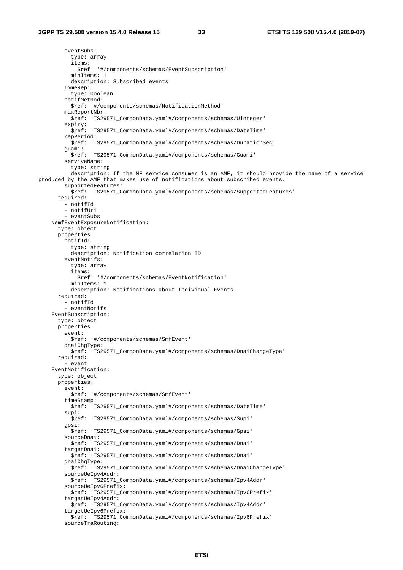eventSubs: type: array items: \$ref: '#/components/schemas/EventSubscription' minItems: 1 description: Subscribed events ImmeRep: type: boolean notifMethod: \$ref: '#/components/schemas/NotificationMethod' maxReportNbr: \$ref: 'TS29571\_CommonData.yaml#/components/schemas/Uinteger' expiry: \$ref: 'TS29571\_CommonData.yaml#/components/schemas/DateTime' repPeriod: \$ref: 'TS29571\_CommonData.yaml#/components/schemas/DurationSec' guami: \$ref: 'TS29571\_CommonData.yaml#/components/schemas/Guami' serviveName: type: string description: If the NF service consumer is an AMF, it should provide the name of a service produced by the AMF that makes use of notifications about subscribed events. supportedFeatures: \$ref: 'TS29571\_CommonData.yaml#/components/schemas/SupportedFeatures' required: - notifId - notifUri - eventSubs NsmfEventExposureNotification: type: object properties: notifId: type: string description: Notification correlation ID eventNotifs: type: array items: \$ref: '#/components/schemas/EventNotification' minItems: 1 description: Notifications about Individual Events required: - notifId - eventNotifs EventSubscription: type: object properties: event: \$ref: '#/components/schemas/SmfEvent' dnaiChgType: \$ref: 'TS29571\_CommonData.yaml#/components/schemas/DnaiChangeType' required:  $-$  event EventNotification: type: object properties: event: \$ref: '#/components/schemas/SmfEvent' timeStamp: \$ref: 'TS29571\_CommonData.yaml#/components/schemas/DateTime' supi: \$ref: 'TS29571\_CommonData.yaml#/components/schemas/Supi' gpsi: .<br>\$ref: 'TS29571\_CommonData.yaml#/components/schemas/Gpsi' sourceDnai: \$ref: 'TS29571\_CommonData.yaml#/components/schemas/Dnai' targetDnai: \$ref: 'TS29571\_CommonData.yaml#/components/schemas/Dnai' dnaiChgType: \$ref: 'TS29571\_CommonData.yaml#/components/schemas/DnaiChangeType' sourceUeIpv4Addr: \$ref: 'TS29571\_CommonData.yaml#/components/schemas/Ipv4Addr' sourceUeIpv6Prefix: \$ref: 'TS29571\_CommonData.yaml#/components/schemas/Ipv6Prefix' targetUeIpv4Addr: \$ref: 'TS29571\_CommonData.yaml#/components/schemas/Ipv4Addr' targetUeIpv6Prefix: \$ref: 'TS29571\_CommonData.yaml#/components/schemas/Ipv6Prefix' sourceTraRouting: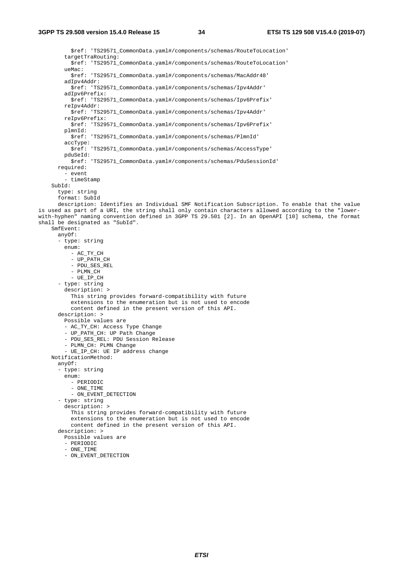\$ref: 'TS29571\_CommonData.yaml#/components/schemas/RouteToLocation' targetTraRouting: \$ref: 'TS29571\_CommonData.yaml#/components/schemas/RouteToLocation' ueMac: \$ref: 'TS29571\_CommonData.yaml#/components/schemas/MacAddr48' adIpv4Addr: \$ref: 'TS29571\_CommonData.yaml#/components/schemas/Ipv4Addr' adIpv6Prefix: \$ref: 'TS29571\_CommonData.yaml#/components/schemas/Ipv6Prefix' reIpv4Addr: \$ref: 'TS29571\_CommonData.yaml#/components/schemas/Ipv4Addr' reIpv6Prefix: \$ref: 'TS29571\_CommonData.yaml#/components/schemas/Ipv6Prefix' plmnId: \$ref: 'TS29571\_CommonData.yaml#/components/schemas/PlmnId' accType: \$ref: 'TS29571\_CommonData.yaml#/components/schemas/AccessType' pduSeId: \$ref: 'TS29571\_CommonData.yaml#/components/schemas/PduSessionId' required: - event - timeStamp SubId: type: string format: SubId description: Identifies an Individual SMF Notification Subscription. To enable that the value is used as part of a URI, the string shall only contain characters allowed according to the "lowerwith-hyphen" naming convention defined in 3GPP TS 29.501 [2]. In an OpenAPI [10] schema, the format shall be designated as "SubId". SmfEvent: anyOf: - type: string enum: - AC\_TY\_CH - UP\_PATH\_CH - PDU\_SES\_REL - PLMN\_CH  $-$  UE IP CH - type: string description: > This string provides forward-compatibility with future extensions to the enumeration but is not used to encode content defined in the present version of this API. description: > Possible values are - AC\_TY\_CH: Access Type Change - UP\_PATH\_CH: UP Path Change - PDU\_SES\_REL: PDU Session Release - PLMN\_CH: PLMN Change - UE\_IP\_CH: UE IP address change NotificationMethod: anyOf: - type: string enum: - PERIODIC - ONE\_TIME - ON\_EVENT\_DETECTION - type: string description: > This string provides forward-compatibility with future extensions to the enumeration but is not used to encode content defined in the present version of this API. description: > Possible values are - PERIODIC - ONE\_TIME - ON\_EVENT\_DETECTION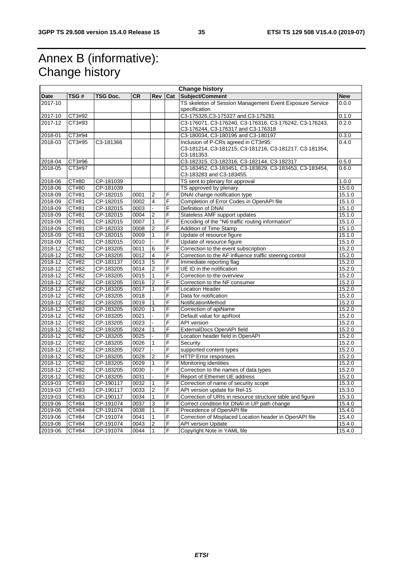# Annex B (informative): Change history

| <b>Change history</b> |        |           |      |                |     |                                                                                    |            |
|-----------------------|--------|-----------|------|----------------|-----|------------------------------------------------------------------------------------|------------|
| <b>Date</b>           | TSG #  | TSG Doc.  | CR.  | <b>Rev</b>     | Cat | Subject/Comment                                                                    | <b>New</b> |
| 2017-10               |        |           |      |                |     | TS skeleton of Session Management Event Exposure Service                           | 0.0.0      |
|                       |        |           |      |                |     | specification                                                                      |            |
| 2017-10               | CT3#92 |           |      |                |     | C3-175326, C3-175327 and C3-175281                                                 | 0.1.0      |
| 2017-12               | CT3#93 |           |      |                |     | C3-176071, C3-176240, C3-176316, C3-176242, C3-176243,                             | 0.2.0      |
|                       |        |           |      |                |     | C3-176244, C3-176317 and C3-176318                                                 |            |
| 2018-01               | CT3#94 |           |      |                |     | C3-180034, C3-180196 and C3-180197                                                 | 0.3.0      |
| 2018-03               | CT3#95 | C3-181366 |      |                |     | Inclusion of P-CRs agreed in CT3#95:                                               | 0.4.0      |
|                       |        |           |      |                |     | C3-181214, C3-181215, C3-181216, C3-181217, C3-181354,                             |            |
|                       |        |           |      |                |     | C3-181353.                                                                         |            |
| 2018-04               | CT3#96 |           |      |                |     | C3-182315, C3-182316, C3-182144, C3-182317                                         | 0.5.0      |
| 2018-05               | CT3#97 |           |      |                |     | C3-183452, C3-183451, C3-183829, C3-183453, C3-183454,<br>C3-183283 and C3-183455. | 0.6.0      |
| $2018 - 06$           | CT#80  | CP-181039 |      |                |     | TS sent to plenary for approval                                                    | 1.0.0      |
| 2018-06               | CT#80  | CP-181039 |      |                |     | TS approved by plenary                                                             | 15.0.0     |
| 2018-09               | CT#81  | CP-182015 | 0001 | 2              | F   | DNAI change notification type                                                      | 15.1.0     |
| 2018-09               | CT#81  | CP-182015 | 0002 | $\overline{4}$ | F   | Completion of Error Codes in OpenAPI file                                          | 15.1.0     |
| 2018-09               | CT#81  | CP-182015 | 0003 | $\mathbf{r}$   | F   | Definition of DNAI                                                                 | 15.1.0     |
| 2018-09               | CT#81  | CP-182015 | 0004 | $\overline{2}$ | F   | Stateless AMF support updates                                                      | 15.1.0     |
| 2018-09               | CT#81  | CP-182015 | 0007 | $\mathbf{1}$   | F   | Encoding of the "N6 traffic routing information"                                   | 15.1.0     |
| 2018-09               | CT#81  | CP-182033 | 0008 | $\overline{2}$ | F   | <b>Addition of Time Stamp</b>                                                      | 15.1.0     |
| 2018-09               | CT#81  | CP-182015 | 0009 | $\mathbf{1}$   | F   | Update of resource figure                                                          | 15.1.0     |
| 2018-09               | CT#81  | CP-182015 | 0010 |                | F   | Update of resource figure                                                          | 15.1.0     |
| 2018-12               | CT#82  | CP-183205 | 0011 | 6              | F   | Correction to the event subscription                                               | 15.2.0     |
| $2018 - 12$           | CT#82  | CP-183205 | 0012 | $\overline{4}$ | F   | Correction to the AF influence traffic steering control                            | 15.2.0     |
| 2018-12               | CT#82  | CP-183137 | 0013 | 5              | F   | Immediate reporting flag                                                           | 15.2.0     |
| 2018-12               | CT#82  | CP-183205 | 0014 | $\overline{2}$ | F   | UE ID in the notification                                                          | 15.2.0     |
| 2018-12               | CT#82  | CP-183205 | 0015 | 1              | F   | Correction to the overview                                                         | 15.2.0     |
| 2018-12               | CT#82  | CP-183205 | 0016 | $\overline{2}$ | F   | Correction to the NF consumer                                                      | 15.2.0     |
| 2018-12               | CT#82  | CP-183205 | 0017 | $\mathbf{1}$   | F   | <b>Location Header</b>                                                             | 15.2.0     |
| 2018-12               | CT#82  | CP-183205 | 0018 |                | F   | Data for notification                                                              | 15.2.0     |
| 2018-12               | CT#82  | CP-183205 | 0019 | $\mathbf{1}$   | F   | NotificationMethod                                                                 | 15.2.0     |
| 2018-12               | CT#82  | CP-183205 | 0020 | $\mathbf{1}$   | F   | Correction of apiName                                                              | 15.2.0     |
| 2018-12               | CT#82  | CP-183205 | 0021 |                | F   | Default value for apiRoot                                                          | 15.2.0     |
| 2018-12               | CT#82  | CP-183205 | 0023 |                | F   | API version                                                                        | 15.2.0     |
| 2018-12               | CT#82  | CP-183205 | 0024 | 1              | F   | ExternalDocs OpenAPI field                                                         | 15.2.0     |
| 2018-12               | CT#82  | CP-183205 | 0025 |                | F   | Location header field in OpenAPI                                                   | 15.2.0     |
| 2018-12               | CT#82  | CP-183205 | 0026 | $\mathbf{1}$   | F   | Security                                                                           | 15.2.0     |
| 2018-12               | CT#82  | CP-183205 | 0027 | $\mathbf{r}$   | F   | supported content types                                                            | 15.2.0     |
| 2018-12               | CT#82  | CP-183205 | 0028 | $\overline{2}$ | F   | <b>HTTP Error responses</b>                                                        | 15.2.0     |
| 2018-12               | CT#82  | CP-183205 | 0029 | $\mathbf{1}$   | F   | Monitoring identities                                                              | 15.2.0     |
| 2018-12               | CT#82  | CP-183205 | 0030 |                | F   | Correction to the names of data types                                              | 15.2.0     |
| 2018-12               | CT#82  | CP-183205 | 0031 |                | F   | Report of Ethernet UE address                                                      | 15.2.0     |
| 2019-03               | CT#83  | CP-190117 | 0032 | $\mathbf{1}$   | F   | Correction of name of security scope                                               | 15.3.0     |
| 2019-03               | CT#83  | CP-190117 | 0033 | $\overline{2}$ | F   | API version update for Rel-15                                                      | 15.3.0     |
| 2019-03               | CT#83  | CP-190117 | 0034 | $\mathbf{1}$   | F   | Correction of URIs in resource structure table and figure                          | 15.3.0     |
| 2019-06               | CT#84  | CP-191074 | 0037 | 3              | F   | Correct condition for DNAI in UP path change                                       | 15.4.0     |
| 2019-06               | CT#84  | CP-191074 | 0038 | $\mathbf{1}$   | F   | Precedence of OpenAPI file                                                         | 15.4.0     |
| 2019-06               | CT#84  | CP-191074 | 0041 | $\mathbf{1}$   | F   | Correction of Misplaced Location header in OpenAPI file                            | 15.4.0     |
| 2019-06               | CT#84  | CP-191074 | 0043 | $\overline{2}$ | F   | <b>API version Update</b>                                                          | 15.4.0     |
| 2019-06               | CT#84  | CP-191074 | 0044 | $\vert$ 1      | F   | Copyright Note in YAML file                                                        | 15.4.0     |